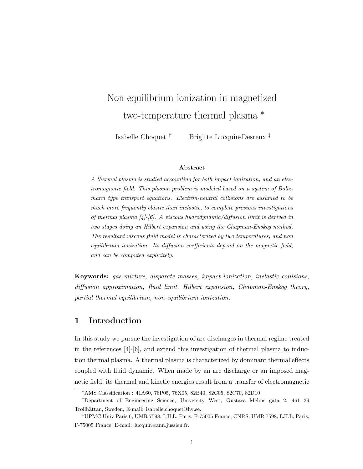# Non equilibrium ionization in magnetized two-temperature thermal plasma <sup>∗</sup>

Isabelle Choquet † Brigitte Lucquin-Desreux ‡

#### Abstract

A thermal plasma is studied accounting for both impact ionization, and an electromagnetic field. This plasma problem is modeled based on a system of Boltzmann type transport equations. Electron-neutral collisions are assumed to be much more frequently elastic than inelastic, to complete previous investigations of thermal plasma  $[4]-[6]$ . A viscous hydrodynamic/diffusion limit is derived in two stages doing an Hilbert expansion and using the Chapman-Enskog method. The resultant viscous fluid model is characterized by two temperatures, and non equilibrium ionization. Its diffusion coefficients depend on the magnetic field, and can be computed explicitely.

Keywords: gas mixture, disparate masses, impact ionization, inelastic collisions, diffusion approximation, fluid limit, Hilbert expansion, Chapman-Enskog theory, partial thermal equilibrium, non-equilibrium ionization.

### 1 Introduction

In this study we pursue the investigation of arc discharges in thermal regime treated in the references  $[4]-[6]$ , and extend this investigation of thermal plasma to induction thermal plasma. A thermal plasma is characterized by dominant thermal effects coupled with fluid dynamic. When made by an arc discharge or an imposed magnetic field, its thermal and kinetic energies result from a transfer of electromagnetic

<sup>∗</sup>AMS Classification : 41A60, 76P05, 76X05, 82B40, 82C05, 82C70, 82D10

<sup>†</sup>Department of Engineering Science, University West, Gustava Melins gata 2, 461 39 Trollhättan, Sweden, E-mail: isabelle.choquet@hv.se.

<sup>‡</sup>UPMC Univ Paris 6, UMR 7598, LJLL, Paris, F-75005 France, CNRS, UMR 7598, LJLL, Paris, F-75005 France, E-mail: lucquin@ann.jussieu.fr.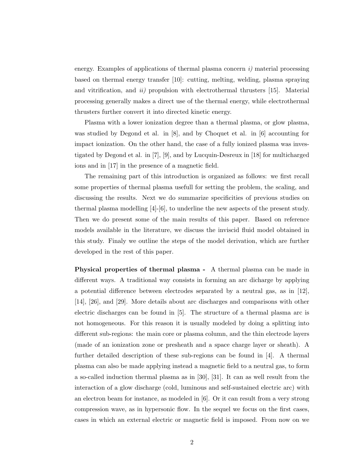energy. Examples of applications of thermal plasma concern  $i$ ) material processing based on thermal energy transfer [10]: cutting, melting, welding, plasma spraying and vitrification, and  $ii)$  propulsion with electrothermal thrusters [15]. Material processing generally makes a direct use of the thermal energy, while electrothermal thrusters further convert it into directed kinetic energy.

Plasma with a lower ionization degree than a thermal plasma, or glow plasma, was studied by Degond et al. in [8], and by Choquet et al. in [6] accounting for impact ionization. On the other hand, the case of a fully ionized plasma was investigated by Degond et al. in [7], [9], and by Lucquin-Desreux in [18] for multicharged ions and in [17] in the presence of a magnetic field.

The remaining part of this introduction is organized as follows: we first recall some properties of thermal plasma usefull for setting the problem, the scaling, and discussing the results. Next we do summarize specificities of previous studies on thermal plasma modelling  $[4]-[6]$ , to underline the new aspects of the present study. Then we do present some of the main results of this paper. Based on reference models available in the literature, we discuss the inviscid fluid model obtained in this study. Finaly we outline the steps of the model derivation, which are further developed in the rest of this paper.

Physical properties of thermal plasma - A thermal plasma can be made in different ways. A traditional way consists in forming an arc dicharge by applying a potential difference between electrodes separated by a neutral gas, as in [12], [14], [26], and [29]. More details about arc discharges and comparisons with other electric discharges can be found in [5]. The structure of a thermal plasma arc is not homogeneous. For this reason it is usually modeled by doing a splitting into different sub-regions: the main core or plasma column, and the thin electrode layers (made of an ionization zone or presheath and a space charge layer or sheath). A further detailed description of these sub-regions can be found in [4]. A thermal plasma can also be made applying instead a magnetic field to a neutral gas, to form a so-called induction thermal plasma as in [30], [31]. It can as well result from the interaction of a glow discharge (cold, luminous and self-sustained electric arc) with an electron beam for instance, as modeled in [6]. Or it can result from a very strong compression wave, as in hypersonic flow. In the sequel we focus on the first cases, cases in which an external electric or magnetic field is imposed. From now on we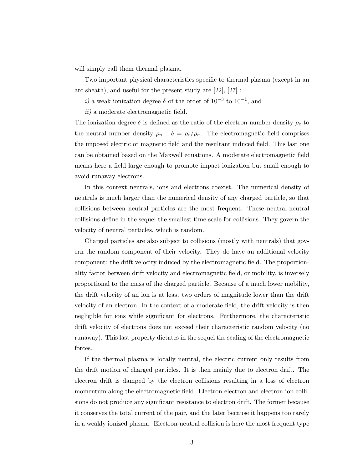will simply call them thermal plasma.

Two important physical characteristics specific to thermal plasma (except in an arc sheath), and useful for the present study are [22], [27] :

i) a weak ionization degree  $\delta$  of the order of  $10^{-3}$  to  $10^{-1}$ , and

ii) a moderate electromagnetic field.

The ionization degree  $\delta$  is defined as the ratio of the electron number density  $\rho_e$  to the neutral number density  $\rho_n$ :  $\delta = \rho_e/\rho_n$ . The electromagnetic field comprises the imposed electric or magnetic field and the resultant induced field. This last one can be obtained based on the Maxwell equations. A moderate electromagnetic field means here a field large enough to promote impact ionization but small enough to avoid runaway electrons.

In this context neutrals, ions and electrons coexist. The numerical density of neutrals is much larger than the numerical density of any charged particle, so that collisions between neutral particles are the most frequent. These neutral-neutral collisions define in the sequel the smallest time scale for collisions. They govern the velocity of neutral particles, which is random.

Charged particles are also subject to collisions (mostly with neutrals) that govern the random component of their velocity. They do have an additional velocity component: the drift velocity induced by the electromagnetic field. The proportionality factor between drift velocity and electromagnetic field, or mobility, is inversely proportional to the mass of the charged particle. Because of a much lower mobility, the drift velocity of an ion is at least two orders of magnitude lower than the drift velocity of an electron. In the context of a moderate field, the drift velocity is then negligible for ions while significant for electrons. Furthermore, the characteristic drift velocity of electrons does not exceed their characteristic random velocity (no runaway). This last property dictates in the sequel the scaling of the electromagnetic forces.

If the thermal plasma is locally neutral, the electric current only results from the drift motion of charged particles. It is then mainly due to electron drift. The electron drift is damped by the electron collisions resulting in a loss of electron momentum along the electromagnetic field. Electron-electron and electron-ion collisions do not produce any significant resistance to electron drift. The former because it conserves the total current of the pair, and the later because it happens too rarely in a weakly ionized plasma. Electron-neutral collision is here the most frequent type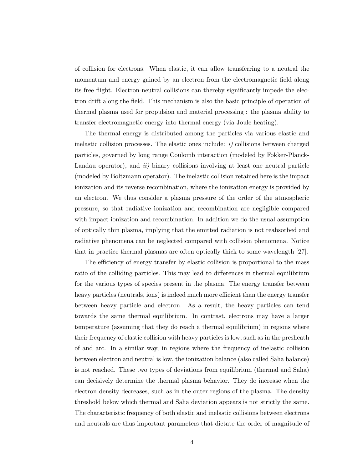of collision for electrons. When elastic, it can allow transferring to a neutral the momentum and energy gained by an electron from the electromagnetic field along its free flight. Electron-neutral collisions can thereby significantly impede the electron drift along the field. This mechanism is also the basic principle of operation of thermal plasma used for propulsion and material processing : the plasma ability to transfer electromagnetic energy into thermal energy (via Joule heating).

The thermal energy is distributed among the particles via various elastic and inelastic collision processes. The elastic ones include:  $i$ ) collisions between charged particles, governed by long range Coulomb interaction (modeled by Fokker-Planck-Landau operator), and  $ii$ ) binary collisions involving at least one neutral particle (modeled by Boltzmann operator). The inelastic collision retained here is the impact ionization and its reverse recombination, where the ionization energy is provided by an electron. We thus consider a plasma pressure of the order of the atmospheric pressure, so that radiative ionization and recombination are negligible compared with impact ionization and recombination. In addition we do the usual assumption of optically thin plasma, implying that the emitted radiation is not reabsorbed and radiative phenomena can be neglected compared with collision phenomena. Notice that in practice thermal plasmas are often optically thick to some wavelength [27].

The efficiency of energy transfer by elastic collision is proportional to the mass ratio of the colliding particles. This may lead to differences in thermal equilibrium for the various types of species present in the plasma. The energy transfer between heavy particles (neutrals, ions) is indeed much more efficient than the energy transfer between heavy particle and electron. As a result, the heavy particles can tend towards the same thermal equilibrium. In contrast, electrons may have a larger temperature (assuming that they do reach a thermal equilibrium) in regions where their frequency of elastic collision with heavy particles is low, such as in the presheath of and arc. In a similar way, in regions where the frequency of inelastic collision between electron and neutral is low, the ionization balance (also called Saha balance) is not reached. These two types of deviations from equilibrium (thermal and Saha) can decisively determine the thermal plasma behavior. They do increase when the electron density decreases, such as in the outer regions of the plasma. The density threshold below which thermal and Saha deviation appears is not strictly the same. The characteristic frequency of both elastic and inelastic collisions between electrons and neutrals are thus important parameters that dictate the order of magnitude of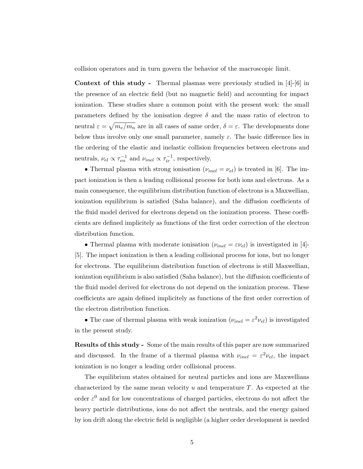collision operators and in turn govern the behavior of the macroscopic limit.

Context of this study - Thermal plasmas were previously studied in [4]-[6] in the presence of an electric field (but no magnetic field) and accounting for impact ionization. These studies share a common point with the present work: the small parameters defined by the ionisation degree  $\delta$  and the mass ratio of electron to neutral  $\varepsilon = \sqrt{m_e/m_n}$  are in all cases of same order,  $\delta = \varepsilon$ . The developments done below thus involve only one small parameter, namely  $\varepsilon$ . The basic difference lies in the ordering of the elastic and inelastic collision frequencies between electrons and neutrals,  $\nu_{el} \propto \tau_{en}^{-1}$  and  $\nu_{inel} \propto \tau_{ir}^{-1}$ , respectively.

• Thermal plasma with strong ionisation ( $\nu_{inel} = \nu_{el}$ ) is treated in [6]. The impact ionization is then a leading collisional process for both ions and electrons. As a main consequence, the equilibrium distribution function of electrons is a Maxwellian, ionization equilibrium is satisfied (Saha balance), and the diffusion coefficients of the fluid model derived for electrons depend on the ionization process. These coefficients are defined implicitely as functions of the first order correction of the electron distribution function.

• Thermal plasma with moderate ionisation ( $\nu_{inel} = \varepsilon \nu_{el}$ ) is investigated in [4]-[5]. The impact ionization is then a leading collisional process for ions, but no longer for electrons. The equilibrium distribution function of electrons is still Maxwellian, ionization equilibrium is also satisfied (Saha balance), but the diffusion coefficients of the fluid model derived for electrons do not depend on the ionization process. These coefficients are again defined implicitely as functions of the first order correction of the electron distribution function.

• The case of thermal plasma with weak ionization  $(\nu_{inel} = \varepsilon^2 \nu_{el})$  is investigated in the present study.

Results of this study - Some of the main results of this paper are now summarized and discussed. In the frame of a thermal plasma with  $\nu_{inel} = \varepsilon^2 \nu_{el}$ , the impact ionization is no longer a leading order collisional process.

The equilibrium states obtained for neutral particles and ions are Maxwellians characterized by the same mean velocity  $u$  and temperature  $T$ . As expected at the order  $\varepsilon^0$  and for low concentrations of charged particles, electrons do not affect the heavy particle distributions, ions do not affect the neutrals, and the energy gained by ion drift along the electric field is negligible (a higher order development is needed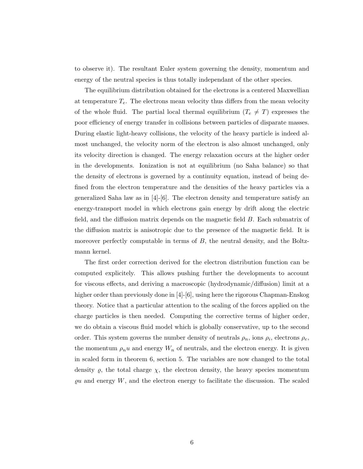to observe it). The resultant Euler system governing the density, momentum and energy of the neutral species is thus totally independant of the other species.

The equilibrium distribution obtained for the electrons is a centered Maxwellian at temperature  $T_e$ . The electrons mean velocity thus differs from the mean velocity of the whole fluid. The partial local thermal equilibrium  $(T_e \neq T)$  expresses the poor efficiency of energy transfer in collisions between particles of disparate masses. During elastic light-heavy collisions, the velocity of the heavy particle is indeed almost unchanged, the velocity norm of the electron is also almost unchanged, only its velocity direction is changed. The energy relaxation occurs at the higher order in the developments. Ionization is not at equilibrium (no Saha balance) so that the density of electrons is governed by a continuity equation, instead of being defined from the electron temperature and the densities of the heavy particles via a generalized Saha law as in  $[4]-[6]$ . The electron density and temperature satisfy an energy-transport model in which electrons gain energy by drift along the electric field, and the diffusion matrix depends on the magnetic field B. Each submatrix of the diffusion matrix is anisotropic due to the presence of the magnetic field. It is moreover perfectly computable in terms of  $B$ , the neutral density, and the Boltzmann kernel.

The first order correction derived for the electron distribution function can be computed explicitely. This allows pushing further the developments to account for viscous effects, and deriving a macroscopic (hydrodynamic/diffusion) limit at a higher order than previously done in  $|4|$ - $|6|$ , using here the rigorous Chapman-Enskog theory. Notice that a particular attention to the scaling of the forces applied on the charge particles is then needed. Computing the corrective terms of higher order, we do obtain a viscous fluid model which is globally conservative, up to the second order. This system governs the number density of neutrals  $\rho_n$ , ions  $\rho_i$ , electrons  $\rho_e$ , the momentum  $\rho_n u$  and energy  $W_n$  of neutrals, and the electron energy. It is given in scaled form in theorem 6, section 5. The variables are now changed to the total density  $\varrho$ , the total charge  $\chi$ , the electron density, the heavy species momentum  $\varrho u$  and energy W, and the electron energy to facilitate the discussion. The scaled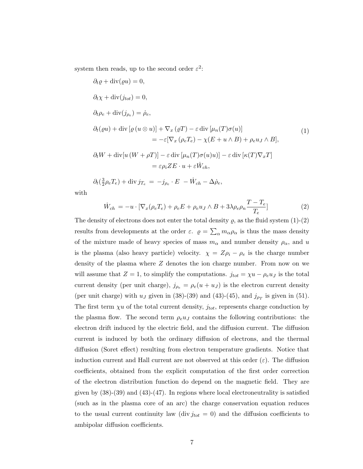system then reads, up to the second order  $\varepsilon^2$ :

$$
\partial_t \varrho + \text{div}(\varrho u) = 0,
$$
  
\n
$$
\partial_t \chi + \text{div}(j_{tot}) = 0,
$$
  
\n
$$
\partial_t \rho_e + \text{div}(j_{\rho_e}) = \dot{\rho}_e,
$$
  
\n
$$
\partial_t (\varrho u) + \text{div} [\varrho (u \otimes u)] + \nabla_x (\varrho T) - \varepsilon \text{div} [\mu_n(T) \sigma(u)]
$$
  
\n
$$
= -\varepsilon [\nabla_x (\rho_e T_e) - \chi (E + u \wedge B) + \rho_e u_J \wedge B],
$$
  
\n
$$
\partial_t W + \text{div} [u (W + \rho T)] - \varepsilon \text{div} [\mu_n(T) \sigma(u) u)] - \varepsilon \text{div} [\kappa(T) \nabla_x T]
$$
  
\n
$$
= \varepsilon \rho_i Z E \cdot u + \varepsilon \dot{W}_{ch},
$$
\n(1)

$$
\partial_t \left( \frac{3}{2} \rho_e T_e \right) + \text{div} \, j_{T_e} = -j_{\rho_e} \cdot E - \dot{W}_{ch} - \Delta \dot{\rho}_e,
$$

with

$$
\dot{W}_{ch} = -u \cdot [\nabla_x (\rho_e T_e) + \rho_e E + \rho_e u_J \wedge B + 3\lambda \rho_e \rho_n \frac{T - T_e}{T_e}] \tag{2}
$$

The density of electrons does not enter the total density  $\rho$ , as the fluid system  $(1)-(2)$ results from developments at the order  $\varepsilon$ .  $\rho = \sum_{\alpha} m_{\alpha} \rho_{\alpha}$  is thus the mass density of the mixture made of heavy species of mass  $m_{\alpha}$  and number density  $\rho_{\alpha}$ , and u is the plasma (also heavy particle) velocity.  $\chi = Z\rho_i - \rho_e$  is the charge number density of the plasma where Z denotes the ion charge number. From now on we will assume that  $Z = 1$ , to simplify the computations.  $j_{tot} = \chi u - \rho_e u_J$  is the total current density (per unit charge),  $j_{\rho_e} = \rho_e(u + u_J)$  is the electron current density (per unit charge) with  $u_J$  given in (38)-(39) and (43)-(45), and  $j_{\rho_T}$  is given in (51). The first term  $\chi u$  of the total current density,  $j_{tot}$ , represents charge conduction by the plasma flow. The second term  $\rho_e u_J$  contains the following contributions: the electron drift induced by the electric field, and the diffusion current. The diffusion current is induced by both the ordinary diffusion of electrons, and the thermal diffusion (Soret effect) resulting from electron temperature gradients. Notice that induction current and Hall current are not observed at this order  $(\varepsilon)$ . The diffusion coefficients, obtained from the explicit computation of the first order correction of the electron distribution function do depend on the magnetic field. They are given by  $(38)-(39)$  and  $(43)-(47)$ . In regions where local electroneutrality is satisfied (such as in the plasma core of an arc) the charge conservation equation reduces to the usual current continuity law (div  $j_{tot} = 0$ ) and the diffusion coefficients to ambipolar diffusion coefficients.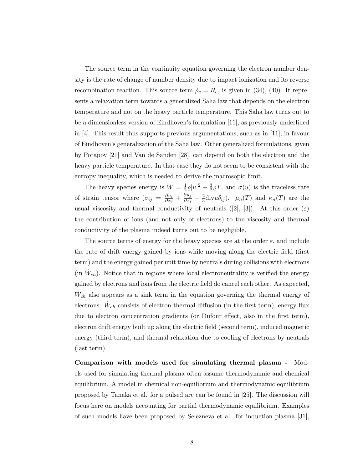The source term in the continuity equation governing the electron number density is the rate of change of number density due to impact ionization and its reverse recombination reaction. This source term  $\dot{\rho}_e = R_e$ , is given in (34), (40). It represents a relaxation term towards a generalized Saha law that depends on the electron temperature and not on the heavy particle temperature. This Saha law turns out to be a dimensionless version of Eindhoven's formulation [11], as previously underlined in [4]. This result thus supports previous argumentations, such as in [11], in favour of Eindhoven's generalization of the Saha law. Other generalized formulations, given by Potapov [21] and Van de Sanden [28], can depend on both the electron and the heavy particle temperature. In that case they do not seem to be consistent with the entropy inequality, which is needed to derive the macrosopic limit.

The heavy species energy is  $W = \frac{1}{2}$  $\frac{1}{2}\varrho|u|^2 + \frac{3}{2}$  $\frac{3}{2}\varrho T$ , and  $\sigma(u)$  is the traceless rate of strain tensor where  $(\sigma_{ij} = \frac{\partial u_i}{\partial x_i})$  $\frac{\partial u_i}{\partial x_j}+\frac{\partial u_j}{\partial x_i}$  $\frac{\partial u_j}{\partial x_i} - \frac{2}{3}$  $\frac{2}{3}$ divu $\delta_{ij}$ ).  $\mu_n(T)$  and  $\kappa_n(T)$  are the usual viscosity and thermal conductivity of neutrals ([2], [3]). At this order ( $\varepsilon$ ) the contribution of ions (and not only of electrons) to the viscosity and thermal conductivity of the plasma indeed turns out to be negligible.

The source terms of energy for the heavy species are at the order  $\varepsilon$ , and include the rate of drift energy gained by ions while moving along the electric field (first term) and the energy gained per unit time by neutrals during collisions with electrons (in  $\dot{W}_{ch}$ ). Notice that in regions where local electroneutrality is verified the energy gained by electrons and ions from the electric field do cancel each other. As expected,  $\dot{W}_{ch}$  also appears as a sink term in the equation governing the thermal energy of electrons.  $\dot{W}_{ch}$  consists of electron thermal diffusion (in the first term), energy flux due to electron concentration gradients (or Dufour effect, also in the first term), electron drift energy built up along the electric field (second term), induced magnetic energy (third term), and thermal relaxation due to cooling of electrons by neutrals (last term).

Comparison with models used for simulating thermal plasma - Models used for simulating thermal plasma often assume thermodynamic and chemical equilibrium. A model in chemical non-equilibrium and thermodynamic equilibrium proposed by Tanaka et al. for a pulsed arc can be found in [25]. The discussion will focus here on models accounting for partial thermodynamic equilibrium. Examples of such models have been proposed by Selezneva et al. for induction plasma [31],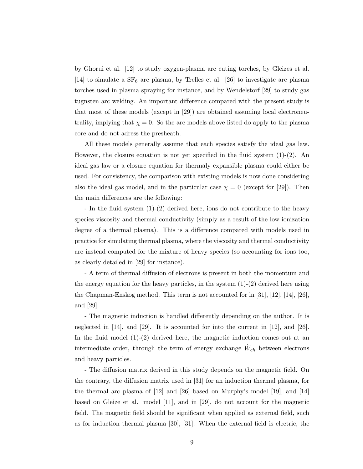by Ghorui et al. [12] to study oxygen-plasma arc cuting torches, by Gleizes et al. [14] to simulate a  $SF_6$  arc plasma, by Trelles et al. [26] to investigate arc plasma torches used in plasma spraying for instance, and by Wendelstorf [29] to study gas tugnsten arc welding. An important difference compared with the present study is that most of these models (except in [29]) are obtained assuming local electroneutrality, implying that  $\chi = 0$ . So the arc models above listed do apply to the plasma core and do not adress the presheath.

All these models generally assume that each species satisfy the ideal gas law. However, the closure equation is not yet specified in the fluid system  $(1)-(2)$ . An ideal gas law or a closure equation for thermaly expansible plasma could either be used. For consistency, the comparison with existing models is now done considering also the ideal gas model, and in the particular case  $\chi = 0$  (except for [29]). Then the main differences are the following:

- In the fluid system (1)-(2) derived here, ions do not contribute to the heavy species viscosity and thermal conductivity (simply as a result of the low ionization degree of a thermal plasma). This is a difference compared with models used in practice for simulating thermal plasma, where the viscosity and thermal conductivity are instead computed for the mixture of heavy species (so accounting for ions too, as clearly detailed in [29] for instance).

- A term of thermal diffusion of electrons is present in both the momentum and the energy equation for the heavy particles, in the system  $(1)-(2)$  derived here using the Chapman-Enskog method. This term is not accounted for in [31], [12], [14], [26], and [29].

- The magnetic induction is handled differently depending on the author. It is neglected in [14], and [29]. It is accounted for into the current in [12], and [26]. In the fluid model  $(1)-(2)$  derived here, the magnetic induction comes out at an intermediate order, through the term of energy exchange  $\dot{W}_{ch}$  between electrons and heavy particles.

- The diffusion matrix derived in this study depends on the magnetic field. On the contrary, the diffusion matrix used in [31] for an induction thermal plasma, for the thermal arc plasma of [12] and [26] based on Murphy's model [19], and [14] based on Gleize et al. model [11], and in [29], do not account for the magnetic field. The magnetic field should be significant when applied as external field, such as for induction thermal plasma [30], [31]. When the external field is electric, the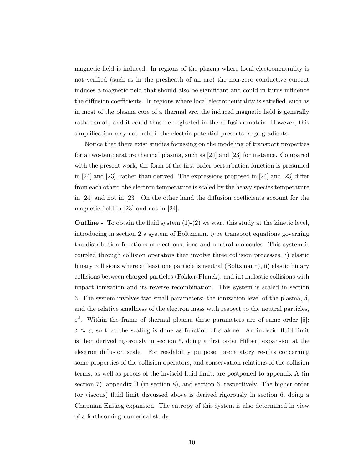magnetic field is induced. In regions of the plasma where local electroneutrality is not verified (such as in the presheath of an arc) the non-zero conductive current induces a magnetic field that should also be significant and could in turns influence the diffusion coefficients. In regions where local electroneutrality is satisfied, such as in most of the plasma core of a thermal arc, the induced magnetic field is generally rather small, and it could thus be neglected in the diffusion matrix. However, this simplification may not hold if the electric potential presents large gradients.

Notice that there exist studies focussing on the modeling of transport properties for a two-temperature thermal plasma, such as [24] and [23] for instance. Compared with the present work, the form of the first order perturbation function is presumed in [24] and [23], rather than derived. The expressions proposed in [24] and [23] differ from each other: the electron temperature is scaled by the heavy species temperature in [24] and not in [23]. On the other hand the diffusion coefficients account for the magnetic field in [23] and not in [24].

**Outline** - To obtain the fluid system  $(1)-(2)$  we start this study at the kinetic level, introducing in section 2 a system of Boltzmann type transport equations governing the distribution functions of electrons, ions and neutral molecules. This system is coupled through collision operators that involve three collision processes: i) elastic binary collisions where at least one particle is neutral (Boltzmann), ii) elastic binary collisions between charged particles (Fokker-Planck), and iii) inelastic collisions with impact ionization and its reverse recombination. This system is scaled in section 3. The system involves two small parameters: the ionization level of the plasma,  $\delta$ , and the relative smallness of the electron mass with respect to the neutral particles,  $\varepsilon^2$ . Within the frame of thermal plasma these parameters are of same order [5]:  $\delta \approx \varepsilon$ , so that the scaling is done as function of  $\varepsilon$  alone. An inviscid fluid limit is then derived rigorously in section 5, doing a first order Hilbert expansion at the electron diffusion scale. For readability purpose, preparatory results concerning some properties of the collision operators, and conservation relations of the collision terms, as well as proofs of the inviscid fluid limit, are postponed to appendix A (in section 7), appendix B (in section 8), and section 6, respectively. The higher order (or viscous) fluid limit discussed above is derived rigorously in section 6, doing a Chapman Enskog expansion. The entropy of this system is also determined in view of a forthcoming numerical study.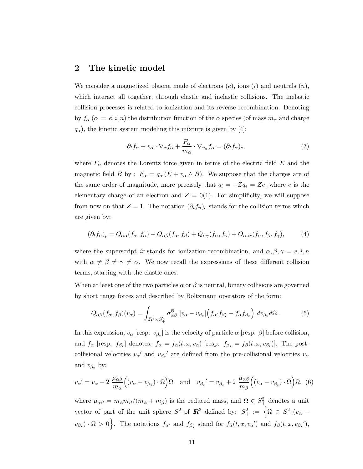#### 2 The kinetic model

We consider a magnetized plasma made of electrons  $(e)$ , ions  $(i)$  and neutrals  $(n)$ , which interact all together, through elastic and inelastic collisions. The inelastic collision processes is related to ionization and its reverse recombination. Denoting by  $f_{\alpha}$  ( $\alpha = e, i, n$ ) the distribution function of the  $\alpha$  species (of mass  $m_{\alpha}$  and charge  $q_{\alpha}$ ), the kinetic system modeling this mixture is given by [4]:

$$
\partial_t f_\alpha + v_\alpha \cdot \nabla_x f_\alpha + \frac{F_\alpha}{m_\alpha} \cdot \nabla_{v_\alpha} f_\alpha = (\partial_t f_\alpha)_c,\tag{3}
$$

where  $F_{\alpha}$  denotes the Lorentz force given in terms of the electric field E and the magnetic field B by :  $F_{\alpha} = q_{\alpha} (E + v_{\alpha} \wedge B)$ . We suppose that the charges are of the same order of magnitude, more precisely that  $q_i = -Zq_e = Ze$ , where e is the elementary charge of an electron and  $Z = 0(1)$ . For simplificity, we will suppose from now on that  $Z = 1$ . The notation  $(\partial_t f_n)_c$  stands for the collision terms which are given by:

$$
(\partial_t f_\alpha)_c = Q_{\alpha\alpha}(f_\alpha, f_\alpha) + Q_{\alpha\beta}(f_\alpha, f_\beta) + Q_{\alpha\gamma}(f_\alpha, f_\gamma) + Q_{\alpha,ir}(f_\alpha, f_\beta, f_\gamma),\tag{4}
$$

where the superscript ir stands for ionization-recombination, and  $\alpha, \beta, \gamma = e, i, n$ with  $\alpha \neq \beta \neq \gamma \neq \alpha$ . We now recall the expressions of these different collision terms, starting with the elastic ones.

When at least one of the two particles  $\alpha$  or  $\beta$  is neutral, binary collisions are governed by short range forces and described by Boltzmann operators of the form:

$$
Q_{\alpha\beta}(f_{\alpha},f_{\beta})(v_{\alpha}) = \int_{I\!\!R^3 \times S_+^2} \sigma_{\alpha\beta}^{\mathcal{B}} |v_{\alpha} - v_{\beta\star}| \Big( f_{\alpha'} f_{\beta'_{\star}} - f_{\alpha} f_{\beta_{\star}} \Big) dv_{\beta_{\star}} d\Omega . \tag{5}
$$

In this expression,  $v_{\alpha}$  [resp.  $v_{\beta_{\star}}$ ] is the velocity of particle  $\alpha$  [resp.  $\beta$ ] before collision, and  $f_{\alpha}$  [resp.  $f_{\beta_{\star}}$ ] denotes:  $f_{\alpha} = f_{\alpha}(t, x, v_{\alpha})$  [resp.  $f_{\beta_{\star}} = f_{\beta}(t, x, v_{\beta_{\star}})$ ]. The postcollisional velocities  $v_{\alpha}'$  and  $v_{\beta_{\star}}'$  are defined from the pre-collisional velocities  $v_{\alpha}$ and  $v_{\beta_{\star}}$  by:

$$
v_{\alpha}' = v_{\alpha} - 2 \frac{\mu_{\alpha\beta}}{m_{\alpha}} \Big( (v_{\alpha} - v_{\beta_{\star}}) \cdot \Omega \Big) \Omega \quad \text{and} \quad v_{\beta_{\star}}' = v_{\beta_{\star}} + 2 \frac{\mu_{\alpha\beta}}{m_{\beta}} \Big( (v_{\alpha} - v_{\beta_{\star}}) \cdot \Omega \Big) \Omega, \tag{6}
$$

where  $\mu_{\alpha\beta} = m_{\alpha} m_{\beta} / (m_{\alpha} + m_{\beta})$  is the reduced mass, and  $\Omega \in S^2_+$  denotes a unit vector of part of the unit sphere  $S^2$  of  $\mathbb{R}^3$  defined by:  $S^2_+ := \{ \Omega \in S^2; (v_\alpha$  $v_{\beta_{\star}}) \cdot \Omega > 0$ . The notations  $f_{\alpha'}$  and  $f_{\beta'_{\star}}$  stand for  $f_{\alpha}(t, x, v_{\alpha}')$  and  $f_{\beta}(t, x, v_{\beta_{\star}}')$ ,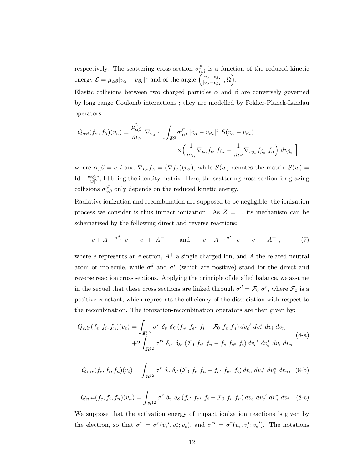respectively. The scattering cross section  $\sigma_{\alpha\beta}^{\mathcal{B}}$  is a function of the reduced kinetic energy  $\mathcal{E} = \mu_{\alpha\beta} |v_{\alpha} - v_{\beta\star}|^2$  and of the angle  $\left(\frac{v_{\alpha} - v_{\beta\star}}{v_{\alpha} - v_{\beta\star}}\right)$  $\frac{v_{\alpha}-v_{\beta_\star}}{|v_{\alpha}-v_{\beta_\star}|},\Omega\Big).$ 

Elastic collisions between two charged particles  $\alpha$  and  $\beta$  are conversely governed by long range Coulomb interactions ; they are modelled by Fokker-Planck-Landau operators:

$$
Q_{\alpha\beta}(f_{\alpha},f_{\beta})(v_{\alpha}) = \frac{\mu_{\alpha\beta}^2}{m_{\alpha}} \nabla_{v_{\alpha}} \cdot \left[ \int_{\mathbb{R}^3} \sigma_{\alpha\beta}^{\mathcal{F}} |v_{\alpha} - v_{\beta_{\star}}|^3 S(v_{\alpha} - v_{\beta_{\star}}) \times \left( \frac{1}{m_{\alpha}} \nabla_{v_{\alpha}} f_{\alpha} S_{\beta_{\star}} - \frac{1}{m_{\beta}} \nabla_{v_{\beta_{\star}}} f_{\beta_{\star}} S_{\alpha} \right) dv_{\beta_{\star}} \right],
$$

where  $\alpha, \beta = e, i$  and  $\nabla_{v_\alpha} f_\alpha = (\nabla f_\alpha)(v_\alpha)$ , while  $S(w)$  denotes the matrix  $S(w)$ Id –  $\frac{w\otimes w}{|w|^2}$  $\frac{w \otimes w}{|w|^2}$ , Id being the identity matrix. Here, the scattering cross section for grazing collisions  $\sigma_{\alpha\beta}^{\mathcal{F}}$  only depends on the reduced kinetic energy.

Radiative ionization and recombination are supposed to be negligible; the ionization process we consider is thus impact ionization. As  $Z = 1$ , its mechanism can be schematized by the following direct and reverse reactions:

$$
e + A \xrightarrow{\sigma d} e + e + A^{+}
$$
 and  $e + A \xleftarrow{\sigma^{r}} e + e + A^{+}$ , (7)

where e represents an electron,  $A^+$  a single charged ion, and A the related neutral atom or molecule, while  $\sigma^d$  and  $\sigma^r$  (which are positive) stand for the direct and reverse reaction cross sections. Applying the principle of detailed balance, we assume in the sequel that these cross sections are linked through  $\sigma^d = \mathcal{F}_0 \sigma^r$ , where  $\mathcal{F}_0$  is a positive constant, which represents the efficiency of the dissociation with respect to the recombination. The ionization-recombination operators are then given by:

$$
Q_{e,ir}(f_e, f_i, f_n)(v_e) = \int_{\mathbb{R}^{12}} \sigma^r \, \delta_v \, \delta_{\mathcal{E}} \left( f_{e'} \, f_{e^{\star}} \, f_i - \mathcal{F}_0 \, f_e \, f_n \right) dv_e' \, dv_e^{\star} \, dv_i \, dv_n
$$
\n
$$
+ 2 \int_{\mathbb{R}^{12}} \sigma^{r'} \, \delta_{v'} \, \delta_{\mathcal{E}'} \left( \mathcal{F}_0 \, f_{e'} \, f_n - f_e \, f_{e^{\star}} \, f_i \right) dv_e' \, dv_e^{\star} \, dv_i \, dv_n,
$$
\n(8-a)

$$
Q_{i,ir}(f_e, f_i, f_n)(v_i) = \int_{\mathbb{R}^{12}} \sigma^r \, \delta_v \, \delta_{\mathcal{E}} (\mathcal{F}_0 \, f_e \, f_n - f_{e'} \, f_{e^{\star}} \, f_i) \, dv_e \, dv_e' \, dv_e^{\star} \, dv_n, \tag{8-b}
$$

$$
Q_{n,ir}(f_e, f_i, f_n)(v_n) = \int_{\mathbb{R}^{12}} \sigma^r \, \delta_v \, \delta_{\mathcal{E}} \left( f_{e'} \, f_{e^*} \, f_i - \mathcal{F}_0 \, f_e \, f_n \right) dv_e \, dv'_e \, dv'_e \, dv_i. \tag{8-c}
$$

We suppose that the activation energy of impact ionization reactions is given by the electron, so that  $\sigma^r = \sigma^r(v_e', v_e^{\star}; v_e)$ , and  $\sigma^{r'} = \sigma^r(v_e, v_e^{\star}; v_e')$ . The notations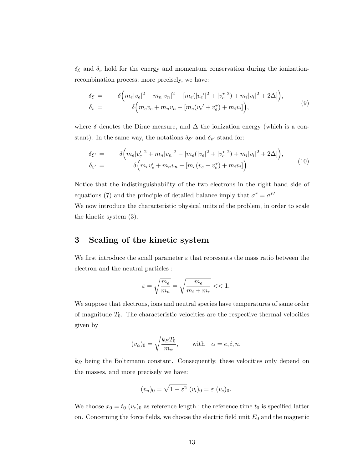$\delta_{\mathcal{E}}$  and  $\delta_{v}$  hold for the energy and momentum conservation during the ionizationrecombination process; more precisely, we have:

$$
\delta_{\mathcal{E}} = \delta \Big( m_e |v_e|^2 + m_n |v_n|^2 - [m_e(|v_e'|^2 + |v_e^{\star}|^2) + m_i |v_i|^2 + 2\Delta] \Big), \n\delta_v = \delta \Big( m_e v_e + m_n v_n - [m_e(v_e' + v_e^{\star}) + m_i v_i] \Big),
$$
\n(9)

where  $\delta$  denotes the Dirac measure, and  $\Delta$  the ionization energy (which is a constant). In the same way, the notations  $\delta_{\mathcal{E}'}$  and  $\delta_{v'}$  stand for:

$$
\delta_{\mathcal{E}'} = \delta \Big( m_e |v'_e|^2 + m_n |v_n|^2 - [m_e(|v_e|^2 + |v_e^{\star}|^2) + m_i |v_i|^2 + 2\Delta] \Big),
$$
\n
$$
\delta_{v'} = \delta \Big( m_e v'_e + m_n v_n - [m_e(v_e + v'_e) + m_i v_i] \Big). \tag{10}
$$

Notice that the indistinguishability of the two electrons in the right hand side of equations (7) and the principle of detailed balance imply that  $\sigma^r = \sigma^{r'}$ .

We now introduce the characteristic physical units of the problem, in order to scale the kinetic system (3).

#### 3 Scaling of the kinetic system

We first introduce the small parameter  $\varepsilon$  that represents the mass ratio between the electron and the neutral particles :

$$
\varepsilon = \sqrt{\frac{m_e}{m_n}} = \sqrt{\frac{m_e}{m_i + m_e}} << 1.
$$

We suppose that electrons, ions and neutral species have temperatures of same order of magnitude  $T_0$ . The characteristic velocities are the respective thermal velocities given by

$$
(v_{\alpha})_0 = \sqrt{\frac{k_B T_0}{m_{\alpha}}},
$$
 with  $\alpha = e, i, n,$ 

 $k_B$  being the Boltzmann constant. Consequently, these velocities only depend on the masses, and more precisely we have:

$$
(v_n)_0 = \sqrt{1 - \varepsilon^2} \ (v_i)_0 = \varepsilon \ (v_e)_0.
$$

We choose  $x_0 = t_0$   $(v_e)_0$  as reference length; the reference time  $t_0$  is specified latter on. Concerning the force fields, we choose the electric field unit  $E_0$  and the magnetic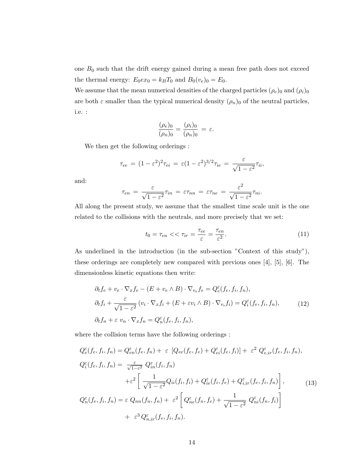one  $B_0$  such that the drift energy gained during a mean free path does not exceed the thermal energy:  $E_0ex_0=k_BT_0$  and  $B_0(v_e)_0=E_0$ .

We assume that the mean numerical densities of the charged particles  $(\rho_e)_0$  and  $(\rho_i)_0$ are both  $\varepsilon$  smaller than the typical numerical density  $(\rho_n)_0$  of the neutral particles, i.e. :

$$
\frac{(\rho_e)_0}{(\rho_n)_0} = \frac{(\rho_i)_0}{(\rho_n)_0} = \varepsilon.
$$

We then get the following orderings :

$$
\tau_{ee} = (1 - \varepsilon^2)^2 \tau_{ei} = \varepsilon (1 - \varepsilon^2)^{3/2} \tau_{ie} = \frac{\varepsilon}{\sqrt{1 - \varepsilon^2}} \tau_{ii},
$$

and:

$$
\tau_{en} = \frac{\varepsilon}{\sqrt{1 - \varepsilon^2}} \tau_{in} = \varepsilon \tau_{nn} = \varepsilon \tau_{ne} = \frac{\varepsilon^2}{\sqrt{1 - \varepsilon^2}} \tau_{ni}.
$$

All along the present study, we assume that the smallest time scale unit is the one related to the collisions with the neutrals, and more precisely that we set:

$$
t_0 = \tau_{en} \ll \tau_{ir} = \frac{\tau_{ee}}{\varepsilon} = \frac{\tau_{en}}{\varepsilon^2}.
$$
\n(11)

As underlined in the introduction (in the sub-section "Context of this study"), these orderings are completely new compared with previous ones [4], [5], [6]. The dimensionless kinetic equations then write:

$$
\partial_t f_e + v_e \cdot \nabla_x f_e - (E + v_e \wedge B) \cdot \nabla_{v_e} f_e = Q_e^{\varepsilon}(f_e, f_i, f_n),
$$
  
\n
$$
\partial_t f_i + \frac{\varepsilon}{\sqrt{1 - \varepsilon^2}} (v_i \cdot \nabla_x f_i + (E + \varepsilon v_i \wedge B) \cdot \nabla_{v_i} f_i) = Q_i^{\varepsilon}(f_e, f_i, f_n),
$$
  
\n
$$
\partial_t f_n + \varepsilon v_n \cdot \nabla_x f_n = Q_n^{\varepsilon}(f_e, f_i, f_n),
$$
\n(12)

where the collision terms have the following orderings :

$$
Q_e^{\varepsilon}(f_e, f_i, f_n) = Q_{en}^{\varepsilon}(f_e, f_n) + \varepsilon \left[ Q_{ee}(f_e, f_e) + Q_{ei}^{\varepsilon}(f_e, f_i) \right] + \varepsilon^2 Q_{e,ir}^{\varepsilon}(f_e, f_i, f_n),
$$
  
\n
$$
Q_i^{\varepsilon}(f_e, f_i, f_n) = \frac{\varepsilon}{\sqrt{1 - \varepsilon^2}} Q_{in}^{\varepsilon}(f_i, f_n)
$$
  
\n
$$
+ \varepsilon^2 \left[ \frac{1}{\sqrt{1 - \varepsilon^2}} Q_{ii}(f_i, f_i) + Q_{ie}^{\varepsilon}(f_i, f_e) + Q_{i,ir}^{\varepsilon}(f_e, f_i, f_n) \right],
$$
  
\n
$$
Q_n^{\varepsilon}(f_e, f_i, f_n) = \varepsilon Q_{nn}(f_n, f_n) + \varepsilon^2 \left[ Q_{ne}^{\varepsilon}(f_n, f_e) + \frac{1}{\sqrt{1 - \varepsilon^2}} Q_{ni}^{\varepsilon}(f_n, f_i) \right]
$$
  
\n
$$
+ \varepsilon^3 Q_{n,ir}^{\varepsilon}(f_e, f_i, f_n).
$$
  
\n(13)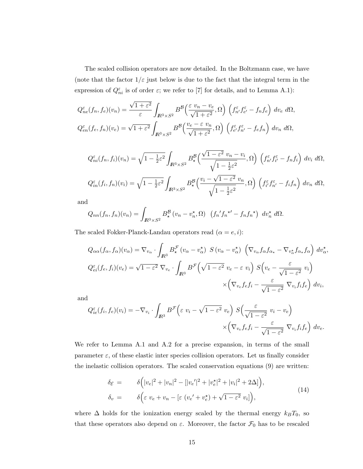The scaled collision operators are now detailed. In the Boltzmann case, we have (note that the factor  $1/\varepsilon$  just below is due to the fact that the integral term in the expression of  $Q_{ni}^{\varepsilon}$  is of order  $\varepsilon$ ; we refer to [7] for details, and to Lemma A.1):

$$
Q_{ne}^{\varepsilon}(f_n, f_e)(v_n) = \frac{\sqrt{1+\varepsilon^2}}{\varepsilon} \int_{\mathbb{R}^3 \times S^2} B^{\mathcal{B}}\left(\frac{\varepsilon v_n - v_e}{\sqrt{1+\varepsilon^2}}, \Omega\right) \left(f_{n'}^{\varepsilon} f_{e'}^{\varepsilon} - f_n f_e\right) dv_e d\Omega,
$$
  

$$
Q_{en}^{\varepsilon}(f_e, f_n)(v_e) = \sqrt{1+\varepsilon^2} \int_{\mathbb{R}^3 \times S^2} B^{\mathcal{B}}\left(\frac{v_e - \varepsilon v_n}{\sqrt{1+\varepsilon^2}}, \Omega\right) \left(f_{e'}^{\varepsilon} f_{n'}^{\varepsilon} - f_e f_n\right) dv_n d\Omega,
$$

$$
Q_{ni}^{\varepsilon}(f_n, f_i)(v_n) = \sqrt{1 - \frac{1}{2}\varepsilon^2} \int_{\mathbb{R}^3 \times S^2} B_{\star}^{\mathcal{B}}\left(\frac{\sqrt{1 - \varepsilon^2} v_n - v_i}{\sqrt{1 - \frac{1}{2}\varepsilon^2}}, \Omega\right) \left(f_{n'}^{\varepsilon} f_{i'}^{\varepsilon} - f_n f_i\right) dv_i d\Omega,
$$
  

$$
Q_{in}^{\varepsilon}(f_i, f_n)(v_i) = \sqrt{1 - \frac{1}{2}\varepsilon^2} \int_{\mathbb{R}^3 \times S^2} B_{\star}^{\mathcal{B}}\left(\frac{v_i - \sqrt{1 - \varepsilon^2} v_n}{\sqrt{1 - \frac{1}{2}\varepsilon^2}}, \Omega\right) \left(f_{i'}^{\varepsilon} f_{n'}^{\varepsilon} - f_i f_n\right) dv_n d\Omega,
$$

and

$$
Q_{nn}(f_n,f_n)(v_n) = \int_{\mathbb{R}^3 \times S^2} B^{\mathcal{B}}_{\star} (v_n - v_n^{\star}, \Omega) \left( f_n' f_n^{\star'} - f_n f_n^{\star} \right) dv_n^{\star} d\Omega.
$$

The scaled Fokker-Planck-Landau operators read  $(\alpha = e, i)$ :

$$
Q_{\alpha\alpha}(f_{\alpha},f_{\alpha})(v_{\alpha}) = \nabla_{v_{\alpha}} \cdot \int_{I\!\!R^3} B^{\mathcal{F}}_{\star} (v_{\alpha} - v_{\alpha}^{\star}) \ S(v_{\alpha} - v_{\alpha}^{\star}) \ \left(\nabla_{v_{\alpha}} f_{\alpha} f_{\alpha_{\star}} - \nabla_{v_{\alpha}^{\star}} f_{\alpha_{\star}} f_{\alpha}\right) dv_{\alpha}^{\star},
$$
  

$$
Q^{\varepsilon}_{ei}(f_e,f_i)(v_e) = \sqrt{1-\varepsilon^2} \ \nabla_{v_e} \cdot \int_{I\!\!R^3} B^{\mathcal{F}}\left(\sqrt{1-\varepsilon^2} \ v_e - \varepsilon \ v_i\right) \ S(v_e - \frac{\varepsilon}{\sqrt{1-\varepsilon^2}} \ v_i)
$$

$$
\times \left(\nabla_{v_e} f_e f_i - \frac{\varepsilon}{\sqrt{1-\varepsilon^2}} \ \nabla_{v_i} f_i f_e\right) \ dv_i,
$$

and

$$
Q_{ie}^{\varepsilon}(f_i, f_e)(v_i) = -\nabla_{v_i} \cdot \int_{I\!\!R^3} B^{\mathcal{F}} \left(\varepsilon v_i - \sqrt{1 - \varepsilon^2} v_e\right) S\left(\frac{\varepsilon}{\sqrt{1 - \varepsilon^2}} v_i - v_e\right) \times \left(\nabla_{v_e} f_e f_i - \frac{\varepsilon}{\sqrt{1 - \varepsilon^2}} \nabla_{v_i} f_i f_e\right) dv_e.
$$

We refer to Lemma A.1 and A.2 for a precise expansion, in terms of the small parameter  $\varepsilon$ , of these elastic inter species collision operators. Let us finally consider the inelastic collision operators. The scaled conservation equations (9) are written:

$$
\delta_{\mathcal{E}} = \delta\left(|v_e|^2 + |v_n|^2 - (|v_e'|^2 + |v_e^*|^2 + |v_i|^2 + 2\Delta)\right),
$$
\n
$$
\delta_v = \delta\left(\varepsilon v_e + v_n - \left[\varepsilon (v_e' + v_e^*) + \sqrt{1 - \varepsilon^2} v_i\right]\right),
$$
\n(14)

where  $\Delta$  holds for the ionization energy scaled by the thermal energy  $k_BT_0$ , so that these operators also depend on  $\varepsilon$ . Moreover, the factor  $\mathcal{F}_0$  has to be rescaled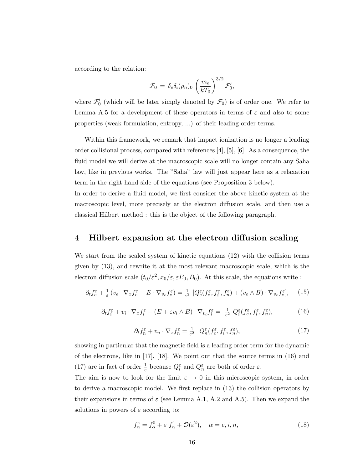according to the relation:

$$
\mathcal{F}_0 = \delta_e \delta_i(\rho_n)_0 \left(\frac{m_e}{kT_0}\right)^{3/2} \mathcal{F}'_0,
$$

where  $\mathcal{F}'_0$  (which will be later simply denoted by  $\mathcal{F}_0$ ) is of order one. We refer to Lemma A.5 for a development of these operators in terms of  $\varepsilon$  and also to some properties (weak formulation, entropy, ...) of their leading order terms.

Within this framework, we remark that impact ionization is no longer a leading order collisional process, compared with references [4], [5], [6]. As a consequence, the fluid model we will derive at the macroscopic scale will no longer contain any Saha law, like in previous works. The "Saha" law will just appear here as a relaxation term in the right hand side of the equations (see Proposition 3 below).

In order to derive a fluid model, we first consider the above kinetic system at the macroscopic level, more precisely at the electron diffusion scale, and then use a classical Hilbert method : this is the object of the following paragraph.

#### 4 Hilbert expansion at the electron diffusion scaling

We start from the scaled system of kinetic equations (12) with the collision terms given by (13), and rewrite it at the most relevant macroscopic scale, which is the electron diffusion scale  $(t_0/\varepsilon^2, x_0/\varepsilon, \varepsilon E_0, B_0)$ . At this scale, the equations write :

$$
\partial_t f_e^{\varepsilon} + \frac{1}{\varepsilon} \left( v_e \cdot \nabla_x f_e^{\varepsilon} - E \cdot \nabla_{v_e} f_e^{\varepsilon} \right) = \frac{1}{\varepsilon^2} \left[ Q_e^{\varepsilon} (f_e^{\varepsilon}, f_i^{\varepsilon}, f_n^{\varepsilon}) + (v_e \wedge B) \cdot \nabla_{v_e} f_e^{\varepsilon} \right], \tag{15}
$$

$$
\partial_t f_i^{\varepsilon} + v_i \cdot \nabla_x f_i^{\varepsilon} + (E + \varepsilon v_i \wedge B) \cdot \nabla_{v_i} f_i^{\varepsilon} = \frac{1}{\varepsilon^2} Q_i^{\varepsilon} (f_e^{\varepsilon}, f_i^{\varepsilon}, f_n^{\varepsilon}), \tag{16}
$$

$$
\partial_t f_n^{\varepsilon} + v_n \cdot \nabla_x f_n^{\varepsilon} = \frac{1}{\varepsilon^2} \ Q_n^{\varepsilon} (f_e^{\varepsilon}, f_i^{\varepsilon}, f_n^{\varepsilon}), \tag{17}
$$

showing in particular that the magnetic field is a leading order term for the dynamic of the electrons, like in [17], [18]. We point out that the source terms in (16) and (17) are in fact of order  $\frac{1}{\varepsilon}$  because  $Q_i^{\varepsilon}$  and  $Q_n^{\varepsilon}$  are both of order  $\varepsilon$ .

The aim is now to look for the limit  $\varepsilon \to 0$  in this microscopic system, in order to derive a macroscopic model. We first replace in (13) the collision operators by their expansions in terms of  $\varepsilon$  (see Lemma A.1, A.2 and A.5). Then we expand the solutions in powers of  $\varepsilon$  according to:

$$
f_{\alpha}^{\varepsilon} = f_{\alpha}^{0} + \varepsilon f_{\alpha}^{1} + \mathcal{O}(\varepsilon^{2}), \quad \alpha = e, i, n,
$$
\n(18)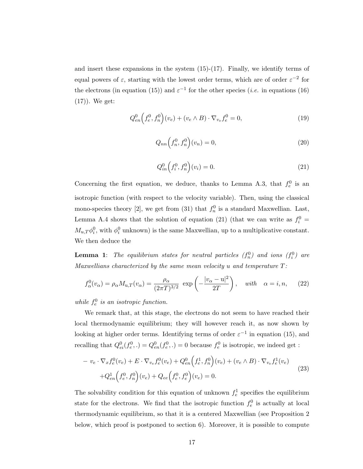and insert these expansions in the system  $(15)-(17)$ . Finally, we identify terms of equal powers of  $\varepsilon$ , starting with the lowest order terms, which are of order  $\varepsilon^{-2}$  for the electrons (in equation (15)) and  $\varepsilon^{-1}$  for the other species (*i.e.* in equations (16) (17)). We get:

$$
Q_{en}^{0}(f_{e}^{0}, f_{n}^{0})(v_{e}) + (v_{e} \wedge B) \cdot \nabla_{v_{e}} f_{e}^{0} = 0, \qquad (19)
$$

$$
Q_{nn}\left(f_n^0, f_n^0\right)(v_n) = 0,\t\t(20)
$$

$$
Q_{in}^{0}\left(f_{i}^{0},f_{n}^{0}\right)(v_{i})=0.
$$
\n(21)

Concerning the first equation, we deduce, thanks to Lemma A.3, that  $f_e^0$  is an isotropic function (with respect to the velocity variable). Then, using the classical mono-species theory [2], we get from (31) that  $f_n^0$  is a standard Maxwellian. Last, Lemma A.4 shows that the solution of equation (21) (that we can write as  $f_i^0$  =  $M_{u,T}\phi_i^0$ , with  $\phi_i^0$  unknown) is the same Maxwellian, up to a multiplicative constant. We then deduce the

**Lemma 1**: The equilibrium states for neutral particles  $(f_n^0)$  and ions  $(f_i^0)$  are Maxwellians characterized by the same mean velocity  $u$  and temperature  $T$ :

$$
f_{\alpha}^{0}(v_{\alpha}) = \rho_{\alpha} M_{\mathbf{u},T}(v_{\alpha}) = \frac{\rho_{\alpha}}{(2\pi T)^{3/2}} \exp\left(-\frac{|v_{\alpha} - \mathbf{u}|^{2}}{2T}\right), \quad \text{with} \quad \alpha = i, n,
$$
 (22)

while  $f_e^0$  is an isotropic function.

We remark that, at this stage, the electrons do not seem to have reached their local thermodynamic equilibrium; they will however reach it, as now shown by looking at higher order terms. Identifying terms of order  $\varepsilon^{-1}$  in equation (15), and recalling that  $Q_{ei}^0(f_e^0,.) = Q_{en}^0(f_e^0,.) = 0$  because  $f_e^0$  is isotropic, we indeed get :

$$
- v_e \cdot \nabla_x f_e^0(v_e) + E \cdot \nabla_{v_e} f_e^0(v_e) + Q_{en}^0(f_e^1, f_n^0)(v_e) + (v_e \wedge B) \cdot \nabla_{v_e} f_e^1(v_e) + Q_{en}^1(f_e^0, f_n^0)(v_e) + Q_{ee}(f_e^0, f_e^0)(v_e) = 0.
$$
\n(23)

The solvability condition for this equation of unknown  $f_e^1$  specifies the equilibrium state for the electrons. We find that the isotropic function  $f_e^0$  is actually at local thermodynamic equilibrium, so that it is a centered Maxwellian (see Proposition 2 below, which proof is postponed to section 6). Moreover, it is possible to compute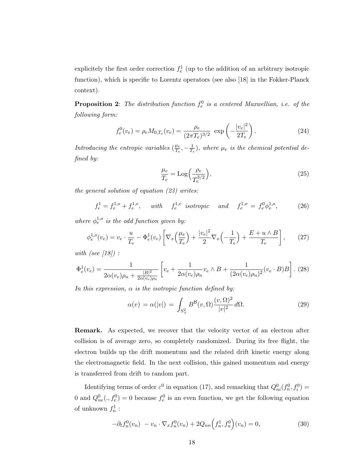explicitely the first order correction  $f_e^1$  (up to the addition of an arbitrary isotropic function), which is specific to Lorentz operators (see also [18] in the Fokker-Planck context).

**Proposition 2**: The distribution function  $f_e^0$  is a centered Maxwellian, i.e. of the following form:

$$
f_e^0(v_e) = \rho_e M_{0,T_e}(v_e) = \frac{\rho_e}{(2\pi T_e)^{3/2}} \exp\left(-\frac{|v_e|^2}{2T_e}\right). \tag{24}
$$

Introducing the entropic variables  $(\frac{\mu_e}{T})$  $\frac{\mu_e}{T_e}, -\frac{1}{T_e}$  $\frac{1}{T_e}$ ), where  $\mu_e$  is the chemical potential defined by:

$$
\frac{\mu_e}{T_e} = \text{Log}\left(\frac{\rho_e}{T_e^{3/2}}\right),\tag{25}
$$

the general solution of equation (23) writes:

 $f_e^1 = f_e^{1,o} + f_e^{1,e}$ , with  $f_e^{1,e}$  isotropic and  $f_e^{1,o} = f_e^0 \phi_e^{1,o}$  $(26)$ 

where  $\phi_e^{1,o}$  is the odd function given by:

$$
\phi_e^{1, o}(v_e) = v_e \cdot \frac{u}{T_e} - \Phi_e^1(v_e) \left[ \nabla_x \left( \frac{\mu_e}{T_e} \right) + \frac{|v_e|^2}{2} \nabla_x \left( -\frac{1}{T_e} \right) + \frac{E + u \wedge B}{T_e} \right], \tag{27}
$$

with (see  $\vert 18 \vert$ ) :

$$
\Phi_e^1(v_e) = \frac{1}{2\alpha(v_e)\rho_n + \frac{|B|^2}{2\alpha(v_e)\rho_n}} \left[ v_e + \frac{1}{2\alpha(v_e)\rho_n} v_e \wedge B + \frac{1}{(2\alpha(v_e)\rho_n)^2} (v_e \cdot B) B \right].
$$
 (28)

In this expression,  $\alpha$  is the isotropic function defined by:

$$
\alpha(v) = \alpha(|v|) = \int_{S_+^2} B^{\mathcal{B}}(v, \Omega) \frac{(v, \Omega)^2}{|v|^2} d\Omega.
$$
 (29)

Remark. As expected, we recover that the velocity vector of an electron after collision is of average zero, so completely randomized. During its free flight, the electron builds up the drift momentum and the related drift kinetic energy along the electromagnetic field. In the next collision, this gained momentum and energy is transferred from drift to random part.

Identifying terms of order  $\varepsilon^0$  in equation (17), and remarking that  $Q_{ni}^0(f_n^0, f_i^0) =$ 0 and  $Q_{ne}^0(., f_e^0) = 0$  because  $f_e^0$  is an even function, we get the following equation of unknown  $f_n^1$ :

$$
-\partial_t f_n^0(v_n) - v_n \cdot \nabla_x f_n^0(v_n) + 2Q_{nn}\Big(f_n^1, f_n^0\Big)(v_n) = 0,
$$
\n(30)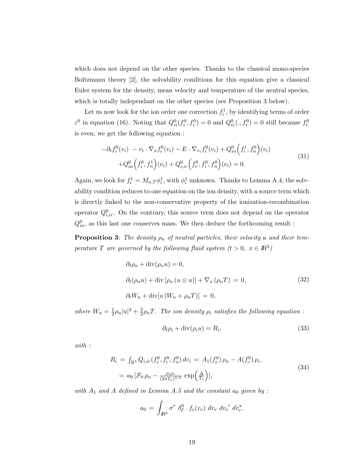which does not depend on the other species. Thanks to the classical mono-species Boltzmann theory [2], the solvability conditions for this equation give a classical Euler system for the density, mean velocity and temperature of the neutral species, which is totally independant on the other species (see Proposition 3 below).

Let us now look for the ion order one correction  $f_i^1$ , by identifying terms of order  $\varepsilon^0$  in equation (16). Noting that  $Q_{ii}^0(f_i^0, f_i^0) = 0$  and  $Q_{ie}^0(., f_e^0) = 0$  still because  $f_e^0$ is even, we get the following equation :

$$
-\partial_t f_i^0(v_i) - v_i \cdot \nabla_x f_i^0(v_i) - E \cdot \nabla_{v_i} f_i^0(v_i) + Q_{in}^0 \left( f_i^1, f_n^0 \right)(v_i) + Q_{in}^0 \left( f_i^0, f_n^1 \right)(v_i) + Q_{i,ir}^0 \left( f_e^0, f_i^0, f_n^0 \right)(v_i) = 0.
$$
\n(31)

Again, we look for  $f_i^1 = M_{u,T} \phi_i^1$ , with  $\phi_i^1$  unknown. Thanks to Lemma A.4, the solvability condition reduces to one equation on the ion density, with a source term which is directly linked to the non-conservative property of the ionization-recombination operator  $Q_{i,ir}^0$ . On the contrary, this source term does not depend on the operator  $Q_{in}^0,$  as this last one conserves mass. We then deduce the forthcoming result :

**Proposition 3:** The density  $\rho_n$  of neutral particles, their velocity u and their temperature T are governed by the following fluid system  $(t > 0, x \in \mathbb{R}^3)$ 

$$
\partial_t \rho_n + \text{div}(\rho_n u) = 0,
$$
  
\n
$$
\partial_t (\rho_n u) + \text{div} [\rho_n (u \otimes u)] + \nabla_x (\rho_n T) = 0,
$$
  
\n
$$
\partial_t W_n + \text{div} [u (W_n + \rho_n T)] = 0,
$$
\n(32)

where  $W_n = \frac{1}{2}$  $\frac{1}{2}\rho_n|u|^2+\frac{3}{2}$  $\frac{3}{2}\rho_nT$ . The ion density  $\rho_i$  satisfies the following equation :

$$
\partial_t \rho_i + \text{div}(\rho_i u) = R_i,\tag{33}
$$

with :

$$
R_i = \int_{\mathbb{R}^3} Q_{i,ir} (f_e^0, f_i^0, f_n^0) dv_i = A_1(f_e^0) \rho_n - A(f_e^0) \rho_i,
$$
  
=  $a_0 \left[ \mathcal{F}_0 \rho_n - \frac{\rho_i \rho_e}{(2\pi T_e)^{3/2}} \exp\left(\frac{\Delta}{T_e}\right) \right],$  (34)

with  $A_1$  and  $A$  defined in Lemma  $A.5$  and the constant  $a_0$  given by :

$$
a_0 = \int_{I\!\!R^9} \sigma^r \; \delta_{\mathcal{E}}^0 \; f_e(v_e) \; dv_e \; dv_e' \; dv_{e}^*.
$$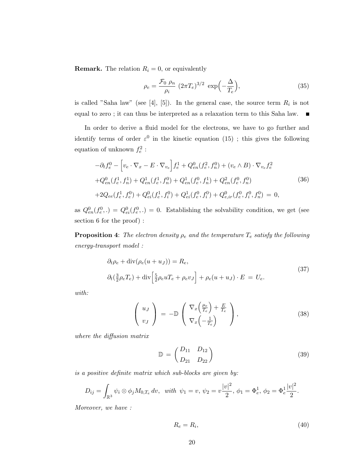**Remark.** The relation  $R_i = 0$ , or equivalently

$$
\rho_e = \frac{\mathcal{F}_0 \ \rho_n}{\rho_i} \ (2\pi T_e)^{3/2} \ \exp\left(-\frac{\Delta}{T_e}\right),\tag{35}
$$

is called "Saha law" (see [4], [5]). In the general case, the source term  $R_i$  is not equal to zero; it can thus be interpreted as a relaxation term to this Saha law.  $\blacksquare$ 

In order to derive a fluid model for the electrons, we have to go further and identify terms of order  $\varepsilon^0$  in the kinetic equation (15); this gives the following equation of unknown  $f_e^2$ :

$$
-\partial_t f_e^0 - \left[ v_e \cdot \nabla_x - E \cdot \nabla_{v_e} \right] f_e^1 + Q_{en}^0(f_e^2, f_n^0) + (v_e \wedge B) \cdot \nabla_{v_e} f_e^2
$$
  
+ $Q_{en}^0(f_e^1, f_n^1) + Q_{en}^1(f_e^1, f_n^0) + Q_{en}^1(f_e^0, f_n^1) + Q_{en}^2(f_e^0, f_n^0)$   
+ $2Q_{ee}(f_e^1, f_e^0) + Q_{ei}^0(f_e^1, f_i^0) + Q_{ei}^1(f_e^0, f_i^0) + Q_{e,ir}^0(f_e^0, f_i^0, f_n^0) = 0,$  (36)

as  $Q_{en}^0(f_e^0,.) = Q_{ei}^0(f_e^0,.) = 0$ . Establishing the solvability condition, we get (see section 6 for the proof) :

**Proposition 4:** The electron density  $\rho_e$  and the temperature  $T_e$  satisfy the following energy-transport model :

$$
\partial_t \rho_e + \text{div}(\rho_e(u+u_J)) = R_e,
$$
  
\n
$$
\partial_t(\frac{3}{2}\rho_e T_e) + \text{div}\left[\frac{5}{2}\rho_e u T_e + \rho_e v_J\right] + \rho_e(u+u_J) \cdot E = U_e.
$$
\n(37)

with:

$$
\begin{pmatrix} u_J \\ v_J \end{pmatrix} = -\mathbb{D} \begin{pmatrix} \nabla_x \left( \frac{\mu_e}{T_e} \right) + \frac{E}{T_e} \\ \nabla_x \left( -\frac{1}{T_e} \right) \end{pmatrix}, \tag{38}
$$

where the diffusion matrix

$$
\mathbb{D} = \begin{pmatrix} D_{11} & D_{12} \\ D_{21} & D_{22} \end{pmatrix} \tag{39}
$$

is a positive definite matrix which sub-blocks are given by:

$$
D_{ij} = \int_{\mathbb{R}^3} \psi_i \otimes \phi_j M_{0,T_e} dv, \text{ with } \psi_1 = v, \psi_2 = v \frac{|v|^2}{2}, \phi_1 = \Phi_e^1, \phi_2 = \Phi_e^1 \frac{|v|^2}{2}.
$$

Moreover, we have :

$$
R_e = R_i,\tag{40}
$$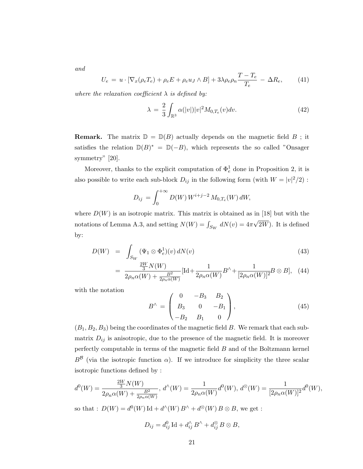and

$$
U_e = u \cdot [\nabla_x (\rho_e T_e) + \rho_e E + \rho_e u_J \wedge B] + 3\lambda \rho_e \rho_n \frac{T - T_e}{T_e} - \Delta R_e, \qquad (41)
$$

where the relaxation coefficient  $\lambda$  is defined by:

$$
\lambda = \frac{2}{3} \int_{\mathbb{R}^3} \alpha(|v|) |v|^2 M_{0, T_e}(v) dv. \tag{42}
$$

**Remark.** The matrix  $\mathbb{D} = \mathbb{D}(B)$  actually depends on the magnetic field B; it satisfies the relation  $D(B)^* = D(-B)$ , which represents the so called "Onsager" symmetry" [20].

Moreover, thanks to the explicit computation of  $\Phi_e^1$  done in Proposition 2, it is also possible to write each sub-block  $D_{ij}$  in the following form (with  $W = |v|^2/2$ ):

$$
D_{ij} = \int_0^{+\infty} D(W) \, W^{i+j-2} \, M_{0,T_e}(W) \, dW,
$$

where  $D(W)$  is an isotropic matrix. This matrix is obtained as in [18] but with the notations of Lemma A.3, and setting  $N(W) = \int_{S_W} dN(v) = 4\pi$ √ 2W). It is defined by:

$$
D(W) = \int_{S_W} (\Psi_1 \otimes \Phi_e^1)(v) dN(v) \tag{43}
$$

$$
= \frac{\frac{2W}{3}N(W)}{2\rho_n\alpha(W) + \frac{B^2}{2\rho_n\alpha(W)}}[\text{Id} + \frac{1}{2\rho_n\alpha(W)}B^{\wedge} + \frac{1}{[2\rho_n\alpha(W)]^2}B \otimes B], \quad (44)
$$

with the notation

$$
B^{\wedge} = \begin{pmatrix} 0 & -B_3 & B_2 \\ B_3 & 0 & -B_1 \\ -B_2 & B_1 & 0 \end{pmatrix}, \tag{45}
$$

 $(B_1, B_2, B_3)$  being the coordinates of the magnetic field B. We remark that each submatrix  $D_{ij}$  is anisotropic, due to the presence of the magnetic field. It is moreover perfectly computable in terms of the magnetic field  $B$  and of the Boltzmann kernel  $B^{\mathcal{B}}$  (via the isotropic function  $\alpha$ ). If we introduce for simplicity the three scalar isotropic functions defined by :

$$
d^{0}(W) = \frac{\frac{2W}{3}N(W)}{2\rho_{n}\alpha(W) + \frac{B^{2}}{2\rho_{n}\alpha(W)}} , d^{\wedge}(W) = \frac{1}{2\rho_{n}\alpha(W)}d^{0}(W), d^{\otimes}(W) = \frac{1}{[2\rho_{n}\alpha(W)]^{2}}d^{0}(W),
$$

so that :  $D(W) = d^0(W) \mathrm{Id} + d^{\wedge}(W) B^{\wedge} + d^{\otimes}(W) B \otimes B$ , we get :

$$
D_{ij} = d_{ij}^0 \operatorname{Id} + d_{ij}^{\wedge} B^{\wedge} + d_{ij}^{\otimes} B \otimes B,
$$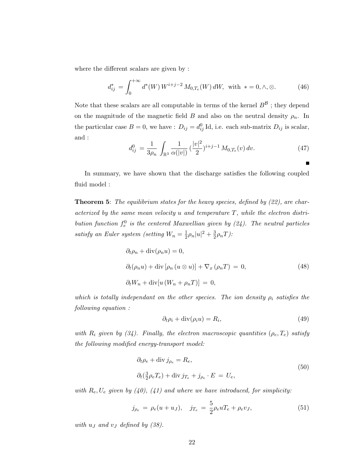where the different scalars are given by :

$$
d_{ij}^* = \int_0^{+\infty} d^*(W) \, W^{i+j-2} \, M_{0,T_e}(W) \, dW, \text{ with } * = 0, \wedge, \otimes. \tag{46}
$$

Note that these scalars are all computable in terms of the kernel  $B^{\mathcal{B}}$  ; they depend on the magnitude of the magnetic field B and also on the neutral density  $\rho_n$ . In the particular case  $B = 0$ , we have :  $D_{ij} = d_{ij}^0$  Id, i.e. each sub-matrix  $D_{ij}$  is scalar, and :

$$
d_{ij}^0 = \frac{1}{3\rho_n} \int_{\mathbb{R}^3} \frac{1}{\alpha(|v|)} \left(\frac{|v|^2}{2}\right)^{i+j-1} M_{0,T_e}(v) \, dv. \tag{47}
$$

In summary, we have shown that the discharge satisfies the following coupled fluid model :

**Theorem 5:** The equilibrium states for the heavy species, defined by (22), are characterized by the same mean velocity  $u$  and temperature  $T$ , while the electron distribution function  $f_e^0$  is the centered Maxwellian given by (24). The neutral particles satisfy an Euler system (setting  $W_n = \frac{1}{2}$  $\frac{1}{2}\rho_n|u|^2+\frac{3}{2}$  $\frac{3}{2}\rho_nT$ ):

$$
\partial_t \rho_n + \text{div}(\rho_n u) = 0,
$$
  
\n
$$
\partial_t (\rho_n u) + \text{div} [\rho_n (u \otimes u)] + \nabla_x (\rho_n T) = 0,
$$
  
\n
$$
\partial_t W_n + \text{div} [u (W_n + \rho_n T)] = 0,
$$
\n(48)

which is totally independant on the other species. The ion density  $\rho_i$  satisfies the following equation :

$$
\partial_t \rho_i + \text{div}(\rho_i u) = R_i,\tag{49}
$$

with  $R_i$  given by (34). Finally, the electron macroscopic quantities  $(\rho_e, T_e)$  satisfy the following modified energy-transport model:

$$
\partial_t \rho_e + \text{div } j_{\rho_e} = R_e,
$$
  
\n
$$
\partial_t (\frac{3}{2} \rho_e T_e) + \text{div } j_{T_e} + j_{\rho_e} \cdot E = U_e,
$$
\n(50)

with  $R_e$ ,  $U_e$  given by (40), (41) and where we have introduced, for simplicity:

$$
j_{\rho_e} = \rho_e(u + u_J), \quad j_{T_e} = \frac{5}{2}\rho_e u T_e + \rho_e v_J,
$$
\n(51)

with  $u_J$  and  $v_J$  defined by (38).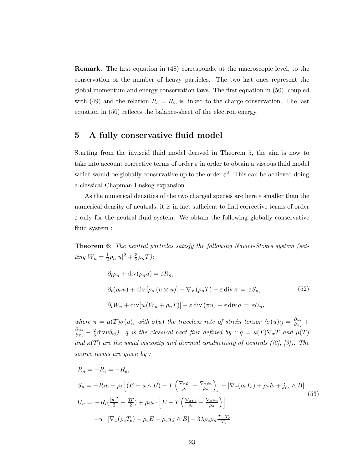Remark. The first equation in (48) corresponds, at the macroscopic level, to the conservation of the number of heavy particles. The two last ones represent the global momentum and energy conservation laws. The first equation in (50), coupled with (49) and the relation  $R_e = R_i$ , is linked to the charge conservation. The last equation in (50) reflects the balance-sheet of the electron energy.

## 5 A fully conservative fluid model

Starting from the inviscid fluid model derived in Theorem 5, the aim is now to take into account corrective terms of order  $\varepsilon$  in order to obtain a viscous fluid model which would be globally conservative up to the order  $\varepsilon^2$ . This can be achieved doing a classical Chapman Enskog expansion.

As the numerical densities of the two charged species are here  $\varepsilon$  smaller than the numerical density of neutrals, it is in fact sufficient to find corrective terms of order  $\varepsilon$  only for the neutral fluid system. We obtain the following globally conservative fluid system :

**Theorem 6:** The neutral particles satisfy the following Navier-Stokes system (setting  $W_n = \frac{1}{2}$  $\frac{1}{2}\rho_n|u|^2+\frac{3}{2}$  $\frac{3}{2}\rho_nT$ ):

$$
\partial_t \rho_n + \text{div}(\rho_n u) = \varepsilon R_n,
$$
  
\n
$$
\partial_t (\rho_n u) + \text{div} [\rho_n (u \otimes u)] + \nabla_x (\rho_n T) - \varepsilon \text{div} \pi = \varepsilon S_n,
$$
\n(52)  
\n
$$
\partial_t W_n + \text{div} [u (W_n + \rho_n T)] - \varepsilon \text{div} (\pi u) - \varepsilon \text{div} q = \varepsilon U_n,
$$

where  $\pi = \mu(T)\sigma(u)$ , with  $\sigma(u)$  the traceless rate of strain tensor  $(\sigma(u)_{ij} = \frac{\partial u_i}{\partial x_i})$  $\frac{\partial u_i}{\partial x_j} +$  $\partial u_j$  $\frac{\partial u_j}{\partial x_i} - \frac{2}{3}$  $\frac{2}{3}$ divu $\delta_{ij}$ ). q is the classical heat flux defined by :  $q = \kappa(T)\nabla_x T$  and  $\mu(T)$ and  $\kappa(T)$  are the usual viscosity and thermal conductivity of neutrals ([2], [3]). The source terms are given by :

$$
R_n = -R_i = -R_e,
$$
  
\n
$$
S_n = -R_i u + \rho_i \left[ (E + u \wedge B) - T \left( \frac{\nabla_x \rho_i}{\rho_i} - \frac{\nabla_x \rho_n}{\rho_n} \right) \right] - \left[ \nabla_x (\rho_e T_e) + \rho_e E + j_{\rho_e} \wedge B \right]
$$
  
\n
$$
U_n = -R_i \left( \frac{|u|^2}{2} + \frac{3T}{2} \right) + \rho_i u \cdot \left[ E - T \left( \frac{\nabla_x \rho_i}{\rho_i} - \frac{\nabla_x \rho_n}{\rho_n} \right) \right]
$$
  
\n
$$
-u \cdot \left[ \nabla_x (\rho_e T_e) + \rho_e E + \rho_e u_J \wedge B \right] - 3\lambda \rho_e \rho_n \frac{T - T_e}{T_e}
$$
\n(53)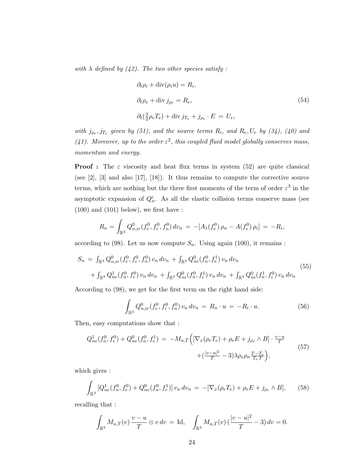with  $\lambda$  defined by (42). The two other species satisfy:

$$
\partial_t \rho_i + \text{div}(\rho_i u) = R_i,
$$
  
\n
$$
\partial_t \rho_e + \text{div} j_{\rho_e} = R_e,
$$
  
\n
$$
\partial_t (\frac{3}{2} \rho_e T_e) + \text{div} j_{T_e} + j_{\rho_e} \cdot E = U_e,
$$
\n(54)

with  $j_{\rho_e}, j_{T_e}$  given by (51), and the source terms  $R_i$ , and  $R_e$ ,  $U_e$  by (34), (40) and (41). Moreover, up to the order  $\varepsilon^2$ , this coupled fluid model globally conserves mass, momentum and energy.

**Proof**: The  $\varepsilon$  viscosity and heat flux terms in system (52) are quite classical (see [2], [3] and also [17], [18]). It thus remains to compute the corrective source terms, which are nothing but the three first moments of the term of order  $\varepsilon^3$  in the asymptotic expansion of  $Q_n^{\varepsilon}$ . As all the elastic collision terms conserve mass (see  $(100)$  and  $(101)$  below), we first have :

$$
R_n = \int_{\mathbb{R}^3} Q_{n,ir}^0(f_e^0, f_i^0, f_n^0) dv_n = -[A_1(f_e^0)\rho_n - A(f_e^0)\rho_i] = -R_i,
$$

according to (98). Let us now compute  $S_n$ . Using again (100), it remains :

$$
S_n = \int_{\mathbb{R}^3} Q_{n,ir}^0(f_e^0, f_i^0, f_n^0) v_n dv_n + \int_{\mathbb{R}^3} Q_{ne}^0(f_n^0, f_e^1) v_n dv_n
$$
  
+  $\int_{\mathbb{R}^3} Q_{ne}^1(f_n^0, f_e^0) v_n dv_n + \int_{\mathbb{R}^3} Q_{ni}^0(f_n^0, f_i^1) v_n dv_n + \int_{\mathbb{R}^3} Q_{ni}^0(f_n^1, f_i^0) v_n dv_n$  (55)

According to (98), we get for the first term on the right hand side:

$$
\int_{\mathbb{R}^3} Q_{n,ir}^0(f_e^0, f_i^0, f_n^0) v_n \, dv_n = R_n \cdot u = -R_i \cdot u. \tag{56}
$$

Then, easy computations show that :

$$
Q_{ne}^{1}(f_{n}^{0}, f_{e}^{0}) + Q_{ne}^{0}(f_{n}^{0}, f_{e}^{1}) = -M_{u,T}\Big( [\nabla_{x}(\rho_{e}T_{e}) + \rho_{e}E + j_{\rho_{e}} \wedge B] \cdot \frac{v-u}{T} + (\frac{|v-u|^{2}}{T} - 3)\lambda \rho_{e}\rho_{n} \frac{T-T_{e}}{T_{e}T}\Big), \tag{57}
$$

which gives :

$$
\int_{\mathbb{R}^3} \left[ Q_{ne}^1(f_n^0, f_e^0) + Q_{ne}^0(f_n^0, f_e^1) \right] v_n \, dv_n = -[\nabla_x(\rho_e T_e) + \rho_e E + j_{\rho_e} \wedge B],\tag{58}
$$

recalling that :

$$
\int_{\mathbb{R}^3} M_{u,T}(v) \, \frac{v-u}{T} \otimes v \, dv = \text{Id}, \quad \int_{\mathbb{R}^3} M_{u,T}(v) \, (\frac{|v-u|^2}{T} - 3) \, dv = 0.
$$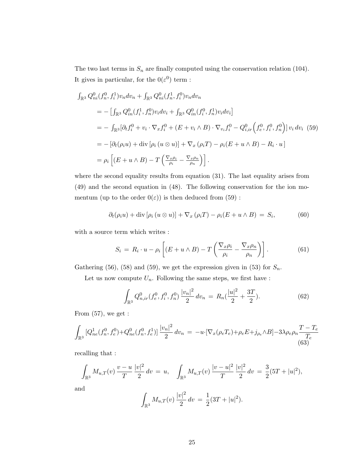The two last terms in  $S_n$  are finally computed using the conservation relation (104). It gives in particular, for the  $0(\varepsilon^0)$  term :

$$
\int_{\mathbb{R}^3} Q_{ni}^0(f_n^0, f_i^1) v_n dv_n + \int_{\mathbb{R}^3} Q_{ni}^0(f_n^1, f_i^0) v_n dv_n
$$
  
\n
$$
= -\left[ \int_{\mathbb{R}^3} Q_{in}^0(f_i^1, f_n^0) v_i dv_i + \int_{\mathbb{R}^3} Q_{in}^0(f_i^0, f_n^1) v_i dv_i \right]
$$
  
\n
$$
= -\int_{\mathbb{R}^3} [\partial_t f_i^0 + v_i \cdot \nabla_x f_i^0 + (E + v_i \wedge B) \cdot \nabla_{v_i} f_i^0 - Q_{i,ir}^0(f_e^0, f_i^0, f_n^0) \right] v_i dv_i \quad (59)
$$
  
\n
$$
= -\left[ \partial_t(\rho_i u) + \text{div} \left[ \rho_i (u \otimes u) \right] + \nabla_x (\rho_i T) - \rho_i (E + u \wedge B) - R_i \cdot u \right]
$$
  
\n
$$
= \rho_i \left[ (E + u \wedge B) - T \left( \frac{\nabla_x \rho_i}{\rho_i} - \frac{\nabla_x \rho_n}{\rho_n} \right) \right].
$$

where the second equality results from equation (31). The last equality arises from (49) and the second equation in (48). The following conservation for the ion momentum (up to the order  $0(\varepsilon)$ ) is then deduced from (59) :

$$
\partial_t(\rho_i u) + \text{div} [\rho_i (u \otimes u)] + \nabla_x (\rho_i T) - \rho_i (E + u \wedge B) = S_i,
$$
 (60)

with a source term which writes :

$$
S_i = R_i \cdot u - \rho_i \left[ (E + u \wedge B) - T \left( \frac{\nabla_x \rho_i}{\rho_i} - \frac{\nabla_x \rho_n}{\rho_n} \right) \right]. \tag{61}
$$

Gathering (56), (58) and (59), we get the expression given in (53) for  $S_n$ .

Let us now compute  $U_n$ . Following the same steps, we first have :

$$
\int_{\mathbb{R}^3} Q_{n,ir}^0(f_e^0, f_i^0, f_n^0) \frac{|v_n|^2}{2} dv_n = R_n(\frac{|u|^2}{2} + \frac{3T}{2}).
$$
\n(62)

From  $(57)$ , we get :

$$
\int_{\mathbb{R}^3} \left[ Q_{ne}^1(f_n^0, f_e^0) + Q_{ne}^0(f_n^0, f_e^1) \right] \frac{|v_n|^2}{2} \, dv_n = -u \cdot \left[ \nabla_x (\rho_e T_e) + \rho_e E + j_{\rho_e} \wedge B \right] - 3\lambda \rho_e \rho_n \frac{T - T_e}{T_e} \tag{63}
$$

recalling that :

$$
\int_{\mathbb{R}^3} M_{u,T}(v) \frac{v-u}{T} \frac{|v|^2}{2} dv = u, \quad \int_{\mathbb{R}^3} M_{u,T}(v) \frac{|v-u|^2}{T} \frac{|v|^2}{2} dv = \frac{3}{2} (5T + |u|^2),
$$

and

$$
\int_{\mathbb{R}^3} M_{u,T}(v) \frac{|v|^2}{2} dv = \frac{1}{2} (3T + |u|^2).
$$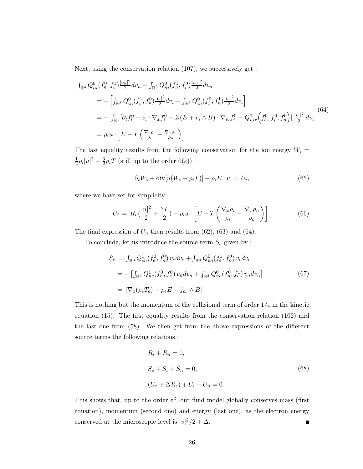Next, using the conservation relation (107), we successively get :

$$
\int_{\mathbb{R}^3} Q_{ni}^0(f_n^0, f_i^1) \frac{|v_n|^2}{2} dv_n + \int_{\mathbb{R}^3} Q_{ni}^0(f_n^1, f_i^0) \frac{|v_n|^2}{2} dv_n
$$
\n
$$
= -\left[ \int_{\mathbb{R}^3} Q_{in}^0(f_i^1, f_n^0) \frac{|v_i|^2}{2} dv_i + \int_{\mathbb{R}^3} Q_{in}^0(f_i^0, f_n^1) \frac{|v_i|^2}{2} dv_i \right]
$$
\n
$$
= -\int_{\mathbb{R}^3} [\partial_t f_i^0 + v_i \cdot \nabla_x f_i^0 + Z(E + v_i \wedge B) \cdot \nabla_{v_i} f_i^0 - Q_{i,ir}^0(f_e^0, f_i^0, f_n^0)] \frac{|v_i|^2}{2} dv_i
$$
\n
$$
= \rho_i u \cdot \left[ E - T \left( \frac{\nabla_x \rho_i}{\rho_i} - \frac{\nabla_x \rho_n}{\rho_n} \right) \right].
$$
\n(64)

The last equality results from the following conservation for the ion energy  $W_i =$ 1  $\frac{1}{2}\rho_i|u|^2+\frac{3}{2}$  $\frac{3}{2}\rho_i T$  (still up to the order  $0(\varepsilon)$ ):

$$
\partial_t W_i + \operatorname{div}[u(W_i + \rho_i T)] - \rho_i E \cdot u = U_i, \tag{65}
$$

where we have set for simplicity:

$$
U_i = R_i \left( \frac{|u|^2}{2} + \frac{3T}{2} \right) - \rho_i u \cdot \left[ E - T \left( \frac{\nabla_x \rho_i}{\rho_i} - \frac{\nabla_x \rho_n}{\rho_n} \right) \right]. \tag{66}
$$

The final expression of  $U_n$  then results from (62), (63) and (64).

To conclude, let us introduce the source term  $S_e$  given by :

$$
S_e = \int_{\mathbb{R}^3} Q_{en}^1(f_e^0, f_n^0) v_e dv_e + \int_{\mathbb{R}^3} Q_{en}^0(f_e^1, f_n^0) v_e dv_e
$$
  
= 
$$
- \left[ \int_{\mathbb{R}^3} Q_{ne}^1(f_n^0, f_e^0) v_n dv_n + \int_{\mathbb{R}^3} Q_{ne}^0(f_n^0, f_e^1) v_n dv_n \right]
$$
  
= 
$$
\left[ \nabla_x (\rho_e T_e) + \rho_e E + j_{\rho_e} \wedge B \right].
$$
 (67)

This is nothing but the momentum of the collisional term of order  $1/\varepsilon$  in the kinetic equation (15). The first equality results from the conservation relation (102) and the last one from (58). We then get from the above expressions of the different source terms the following relations :

$$
R_i + R_n = 0,
$$
  
\n
$$
S_e + S_i + S_n = 0,
$$
  
\n
$$
(U_e + \Delta R_e) + U_i + U_n = 0.
$$
\n(68)

This shows that, up to the order  $\varepsilon^2$ , our fluid model globally conserves mass (first equation), momentum (second one) and energy (last one), as the electron energy conserved at the microscopic level is  $|v|^2/2 + \Delta$ .  $\blacksquare$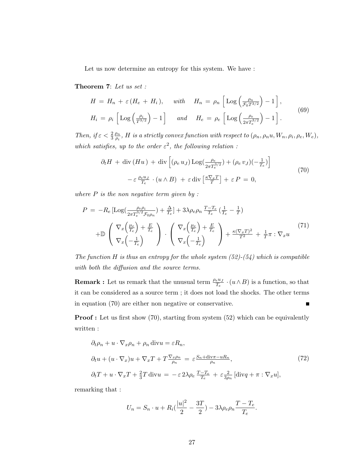Let us now determine an entropy for this system. We have :

Theorem 7: Let us set :

$$
H = H_n + \varepsilon (H_e + H_i), \quad \text{with} \quad H_n = \rho_n \left[ \text{Log} \left( \frac{\rho_n}{\mathcal{F}_0 T^{3/2}} \right) - 1 \right],
$$
  

$$
H_i = \rho_i \left[ \text{Log} \left( \frac{\rho_i}{T^{3/2}} \right) - 1 \right] \quad \text{and} \quad H_e = \rho_e \left[ \text{Log} \left( \frac{\rho_e}{2\pi T_e^{3/2}} \right) - 1 \right].
$$
 (69)

Then, if  $\varepsilon < \frac{2}{3}$  $\rho_n$  $\frac{\rho_n}{\rho_i},\,H$  is a strictly convex function with respect to  $(\rho_n,\rho_nu,W_n,\rho_i,\rho_e,W_e),$ which satisfies, up to the order  $\varepsilon^2$ , the following relation:

$$
\partial_t H + \text{div}(Hu) + \text{div}\left[ (\rho_e u_J) \text{Log}(\frac{\rho_e}{2\pi T_e^{3/2}}) + (\rho_e v_J)(-\frac{1}{T_e}) \right]
$$
  

$$
-\varepsilon \frac{\rho_e u_J}{T_e} \cdot (u \wedge B) + \varepsilon \text{div}\left[\frac{\kappa \nabla_x T}{T}\right] + \varepsilon P = 0,
$$
 (70)

where  $P$  is the non negative term given by :

$$
P = -R_e \left[ \text{Log} \left( \frac{\rho_e \rho_i}{2\pi T_e^{3/2} \mathcal{F}_{0}\rho_n} \right) + \frac{\Delta}{T_e} \right] + 3\lambda \rho_e \rho_n \frac{T - T_e}{T_e} \left( \frac{1}{T_e} - \frac{1}{T} \right)
$$
  
+ 
$$
\mathbb{D} \left( \nabla_x \left( \frac{\mu_e}{T_e} \right) + \frac{E}{T_e} \right) \cdot \left( \nabla_x \left( \frac{\mu_e}{T_e} \right) + \frac{E}{T_e} \right) + \frac{\kappa (\nabla_x T)^2}{T^2} + \frac{1}{T} \pi : \nabla_x u \right)
$$
(71)

The function H is thus an entropy for the whole system  $(52)-(54)$  which is compatible with both the diffusion and the source terms.

**Remark :** Let us remark that the unusual term  $\frac{\rho_e u_J}{T_e} \cdot (u \wedge B)$  is a function, so that it can be considered as a source term ; it does not load the shocks. The other terms in equation (70) are either non negative or conservative. Е

**Proof :** Let us first show (70), starting from system (52) which can be equivalently written :

$$
\partial_t \rho_n + u \cdot \nabla_x \rho_n + \rho_n \operatorname{div} u = \varepsilon R_n,
$$
  
\n
$$
\partial_t u + (u \cdot \nabla_x) u + \nabla_x T + T \frac{\nabla_x \rho_n}{\rho_n} = \varepsilon \frac{S_n + \operatorname{div} \pi - uR_n}{\rho_n},
$$
  
\n
$$
\partial_t T + u \cdot \nabla_x T + \frac{2}{3} T \operatorname{div} u = -\varepsilon 2\lambda \rho_e \frac{T - T_e}{T_e} + \varepsilon \frac{2}{3\rho_n} [\operatorname{div} q + \pi : \nabla_x u],
$$
\n(72)

remarking that :

$$
U_n = S_n \cdot u + R_i \left( \frac{|u|^2}{2} - \frac{3T}{2} \right) - 3\lambda \rho_e \rho_n \frac{T - T_e}{T_e}.
$$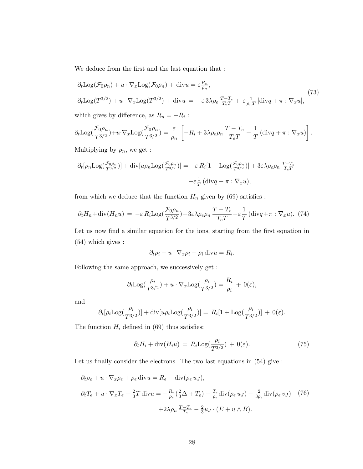We deduce from the first and the last equation that :

$$
\partial_t \text{Log}(\mathcal{F}_0 \rho_n) + u \cdot \nabla_x \text{Log}(\mathcal{F}_0 \rho_n) + \text{div} u = \varepsilon \frac{R_n}{\rho_n},
$$
  

$$
\partial_t \text{Log}(T^{3/2}) + u \cdot \nabla_x \text{Log}(T^{3/2}) + \text{div} u = -\varepsilon 3\lambda \rho_e \frac{T - T_e}{T_e T} + \varepsilon \frac{1}{\rho_n T} [\text{div} q + \pi : \nabla_x u],
$$
\n(73)

which gives by difference, as  $R_n = -R_i$ :

$$
\partial_t \text{Log}(\frac{\mathcal{F}_0 \rho_n}{T^{3/2}}) + u \cdot \nabla_x \text{Log}(\frac{\mathcal{F}_0 \rho_n}{T^{3/2}}) = \frac{\varepsilon}{\rho_n} \left[ -R_i + 3\lambda \rho_e \rho_n \frac{T - T_e}{T_e T} - \frac{1}{T} \left( \text{div} q + \pi : \nabla_x u \right) \right].
$$

Multiplying by  $\rho_n$ , we get :

$$
\partial_t[\rho_n \text{Log}(\frac{\mathcal{F}_0 \rho_n}{T^{3/2}})] + \text{div}[u\rho_n \text{Log}(\frac{\mathcal{F}_0 \rho_n}{T^{3/2}})] = -\varepsilon R_i[1 + \text{Log}(\frac{\mathcal{F}_0 \rho_n}{T^{3/2}})] + 3\varepsilon \lambda \rho_e \rho_n \frac{T - T_e}{T_e T}
$$

$$
-\varepsilon \frac{1}{T}(\text{div}q + \pi : \nabla_x u),
$$

from which we deduce that the function  $H_n$  given by (69) satisfies :

$$
\partial_t H_n + \text{div}(H_n u) = -\varepsilon R_i \text{Log}(\frac{\mathcal{F}_0 \rho_n}{T^{3/2}}) + 3\varepsilon \lambda \rho_e \rho_n \frac{T - T_e}{T_e T} - \varepsilon \frac{1}{T} (\text{div} q + \pi : \nabla_x u). \tag{74}
$$

Let us now find a similar equation for the ions, starting from the first equation in (54) which gives :

$$
\partial_t \rho_i + u \cdot \nabla_x \rho_i + \rho_i \operatorname{div} u = R_i.
$$

Following the same approach, we successively get :

$$
\partial_t \text{Log}(\frac{\rho_i}{T^{3/2}}) + u \cdot \nabla_x \text{Log}(\frac{\rho_i}{T^{3/2}}) = \frac{R_i}{\rho_i} + 0(\varepsilon),
$$

and

$$
\partial_t[\rho_i \text{Log}(\frac{\rho_i}{T^{3/2}})] + \text{div}[\bar{u}\rho_i \text{Log}(\frac{\rho_i}{T^{3/2}})] = R_i[1 + \text{Log}(\frac{\rho_i}{T^{3/2}})] + 0(\varepsilon).
$$

The function  $H_i$  defined in (69) thus satisfies:

$$
\partial_t H_i + \text{div}(H_i u) = R_i \text{Log}(\frac{\rho_i}{T^{3/2}}) + 0(\varepsilon). \tag{75}
$$

Let us finally consider the electrons. The two last equations in (54) give :

$$
\partial_t \rho_e + u \cdot \nabla_x \rho_e + \rho_e \operatorname{div} u = R_e - \operatorname{div}(\rho_e u_J),
$$
  

$$
\partial_t T_e + u \cdot \nabla_x T_e + \frac{2}{3} T \operatorname{div} u = -\frac{R_e}{\rho_e} (\frac{2}{3} \Delta + T_e) + \frac{T_e}{\rho_e} \operatorname{div}(\rho_e u_J) - \frac{2}{3\rho_e} \operatorname{div}(\rho_e v_J) \quad (76)
$$
  

$$
+ 2\lambda \rho_n \frac{T - T_e}{T_e} - \frac{2}{3} u_J \cdot (E + u \wedge B).
$$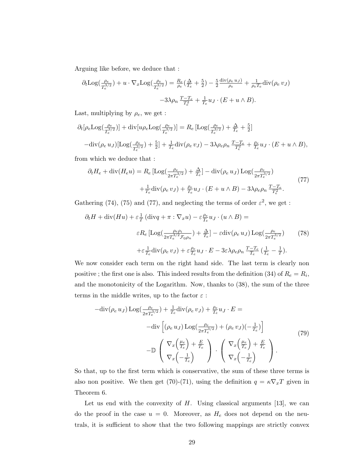Arguing like before, we deduce that :

$$
\partial_t \text{Log}(\frac{\rho_e}{T_e^{3/2}}) + u \cdot \nabla_x \text{Log}(\frac{\rho_e}{T_e^{3/2}}) = \frac{R_e}{\rho_e}(\frac{\Delta}{T_e} + \frac{5}{2}) - \frac{5}{2} \frac{\text{div}(\rho_e u_J)}{\rho_e} + \frac{1}{\rho_e T_e} \text{div}(\rho_e v_J)
$$

$$
-3\lambda \rho_n \frac{T - T_e}{T_e^2} + \frac{1}{T_e} u_J \cdot (E + u \wedge B).
$$

Last, multiplying by  $\rho_e$ , we get :

$$
\partial_t [\rho_e \text{Log}(\frac{\rho_e}{T_e^{3/2}})] + \text{div} [u \rho_e \text{Log}(\frac{\rho_e}{T_e^{3/2}})] = R_e [\text{Log}(\frac{\rho_e}{T_e^{3/2}}) + \frac{\Delta}{T_e} + \frac{5}{2}]
$$
  

$$
-\text{div}(\rho_e u_J) [\text{Log}(\frac{\rho_e}{T_e^{3/2}}) + \frac{5}{2}] + \frac{1}{T_e} \text{div}(\rho_e v_J) - 3\lambda \rho_e \rho_n \frac{T - T_e}{T_e^2} + \frac{\rho_e}{T_e} u_J \cdot (E + u \wedge B),
$$

from which we deduce that :

$$
\partial_t H_e + \text{div}(H_e u) = R_e \left[ \text{Log}(\frac{\rho_e}{2\pi T_e^{3/2}}) + \frac{\Delta}{T_e} \right] - \text{div}(\rho_e u_J) \text{Log}(\frac{\rho_e}{2\pi T_e^{3/2}}) + \frac{1}{T_e} \text{div}(\rho_e v_J) + \frac{\rho_e}{T_e} u_J \cdot (E + u \wedge B) - 3\lambda \rho_e \rho_n \frac{T - T_e}{T_e^2}.
$$
\n(77)

Gathering (74), (75) and (77), and neglecting the terms of order  $\varepsilon^2$ , we get :

$$
\partial_t H + \text{div}(Hu) + \varepsilon \frac{1}{T} \left( \text{div} q + \pi : \nabla_x u \right) - \varepsilon \frac{\rho_e}{T_e} u_J \cdot \left( u \wedge B \right) =
$$
  

$$
\varepsilon R_e \left[ \text{Log} \left( \frac{\rho_e \rho_i}{2\pi T_e^{3/2} \mathcal{F}_{0}\rho_n} \right) + \frac{\Delta}{T_e} \right] - \varepsilon \text{div} \left( \rho_e u_J \right) \text{Log} \left( \frac{\rho_e}{2\pi T_e^{3/2}} \right) \tag{78}
$$
  

$$
+ \varepsilon \frac{1}{T_e} \text{div} \left( \rho_e v_J \right) + \varepsilon \frac{\rho_e}{T_e} u_J \cdot E - 3\varepsilon \lambda \rho_e \rho_n \frac{T - T_e}{T_e} \left( \frac{1}{T_e} - \frac{1}{T} \right).
$$

We now consider each term on the right hand side. The last term is clearly non positive; the first one is also. This indeed results from the definition (34) of  $R_e = R_i$ , and the monotonicity of the Logarithm. Now, thanks to (38), the sum of the three terms in the middle writes, up to the factor  $\varepsilon$ :

$$
-\text{div}(\rho_e u_J) \text{Log}(\frac{\rho_e}{2\pi T_e^{3/2}}) + \frac{1}{T_e} \text{div}(\rho_e v_J) + \frac{\rho_e}{T_e} u_J \cdot E =
$$

$$
-\text{div}\left[ (\rho_e u_J) \text{Log}(\frac{\rho_e}{2\pi T_e^{3/2}}) + (\rho_e v_J)(-\frac{1}{T_e}) \right]
$$

$$
-\mathbb{D}\left(\nabla_x \left(\frac{\mu_e}{T_e}\right) + \frac{E}{T_e}\right) \cdot \left(\nabla_x \left(\frac{\mu_e}{T_e}\right) + \frac{E}{T_e}\right).
$$
(79)

So that, up to the first term which is conservative, the sum of these three terms is also non positive. We then get (70)-(71), using the definition  $q = \kappa \nabla_x T$  given in Theorem 6.

Let us end with the convexity of  $H$ . Using classical arguments [13], we can do the proof in the case  $u = 0$ . Moreover, as  $H_e$  does not depend on the neutrals, it is sufficient to show that the two following mappings are strictly convex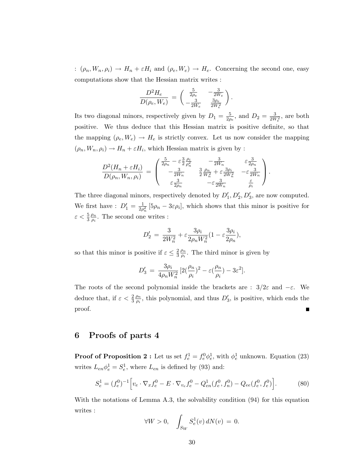:  $(\rho_n, W_n, \rho_i) \to H_n + \varepsilon H_i$  and  $(\rho_e, W_e) \to H_e$ . Concerning the second one, easy computations show that the Hessian matrix writes :

$$
\frac{D^2H_e}{D(\rho_e,W_e)}\,=\,\left(\begin{array}{cc} \frac{5}{2\rho_e} & -\frac{3}{2W_e} \\ -\frac{3}{2W_e} & \frac{3\rho_e}{2W_e^2} \end{array}\right).
$$

Its two diagonal minors, respectively given by  $D_1 = \frac{5}{2a}$  $\frac{5}{2\rho_e}$ , and  $D_2 = \frac{3}{2W_e^2}$ , are both positive. We thus deduce that this Hessian matrix is positive definite, so that the mapping  $(\rho_e, W_e) \to H_e$  is strictly convex. Let us now consider the mapping  $(\rho_n, W_n, \rho_i) \to H_n + \varepsilon H_i$ , which Hessian matrix is given by :

$$
\frac{D^2(H_n + \varepsilon H_i)}{D(\rho_n, W_n, \rho_i)} = \begin{pmatrix} \frac{5}{2\rho_n} - \varepsilon \frac{3}{2} \frac{\rho_i}{\rho_n^2} & -\frac{3}{2W_n} & \varepsilon \frac{3}{2\rho_n} \\ -\frac{3}{2W_n} & \frac{3}{2} \frac{\rho_n}{W_n^2} + \varepsilon \frac{3\rho_i}{2W_n^2} & -\varepsilon \frac{3}{2W_n} \\ \varepsilon \frac{3}{2\rho_n} & -\varepsilon \frac{3}{2W_n} & \frac{\varepsilon}{\rho_i} \end{pmatrix}.
$$

The three diagonal minors, respectively denoted by  $D'_1, D'_2, D'_3$ , are now computed. We first have :  $D'_1 = \frac{1}{2\rho}$  $\frac{1}{2\rho_n^2}$  [5 $\rho_n - 3\varepsilon \rho_i$ ], which shows that this minor is positive for  $\varepsilon < \frac{5}{3}$  $\rho_n$  $\frac{\rho_n}{\rho_i}$ . The second one writes :

$$
D_2' = \frac{3}{2W_n^2} + \varepsilon \frac{3\rho_i}{2\rho_n W_n^2} (1 - \varepsilon \frac{3\rho_i}{2\rho_n}),
$$

so that this minor is positive if  $\varepsilon \leq \frac{2}{3}$ 3  $\rho_n$  $\frac{\rho_n}{\rho_i}$ . The third minor is given by

$$
D_3' = \frac{3\rho_i}{4\rho_n W_n^2} \left[ 2(\frac{\rho_n}{\rho_i})^2 - \varepsilon(\frac{\rho_n}{\rho_i}) - 3\varepsilon^2 \right].
$$

The roots of the second polynomial inside the brackets are :  $3/2\varepsilon$  and  $-\varepsilon$ . We deduce that, if  $\varepsilon < \frac{2}{3}$  $\rho_n$  $\frac{\rho_n}{\rho_i}$ , this polynomial, and thus  $D'_3$ , is positive, which ends the proof.

#### 6 Proofs of parts 4

**Proof of Proposition 2 :** Let us set  $f_e^1 = f_e^0 \phi_e^1$ , with  $\phi_e^1$  unknown. Equation (23) writes  $L_{en} \phi_e^1 = S_e^1$ , where  $L_{en}$  is defined by (93) and:

$$
S_e^1 = (f_e^0)^{-1} \Big[ v_e \cdot \nabla_x f_e^0 - E \cdot \nabla_{v_e} f_e^0 - Q_{en}^1(f_e^0, f_n^0) - Q_{ee}(f_e^0, f_e^0) \Big]. \tag{80}
$$

With the notations of Lemma A.3, the solvability condition (94) for this equation writes :

$$
\forall W > 0, \quad \int_{S_W} S_e^1(v) dN(v) = 0.
$$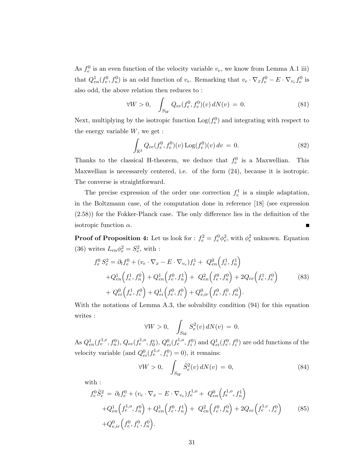As  $f_e^0$  is an even function of the velocity variable  $v_e$ , we know from Lemma A.1 iii) that  $Q_{en}^1(f_e^0, f_n^0)$  is an odd function of  $v_e$ . Remarking that  $v_e \cdot \nabla_x f_e^0 - E \cdot \nabla_{v_e} f_e^0$  is also odd, the above relation then reduces to :

$$
\forall W > 0, \quad \int_{S_W} Q_{ee}(f_e^0, f_e^0)(v) \, dN(v) = 0. \tag{81}
$$

Next, multiplying by the isotropic function  $\text{Log}(f_e^0)$  and integrating with respect to the energy variable  $W$ , we get :

$$
\int_{\mathbb{R}^3} Q_{ee}(f_e^0, f_e^0)(v) \log(f_e^0)(v) dv = 0.
$$
\n(82)

Thanks to the classical H-theorem, we deduce that  $f_e^0$  is a Maxwellian. This Maxwellian is necessarely centered, i.e. of the form (24), because it is isotropic. The converse is straightforward.

The precise expression of the order one correction  $f_e^1$  is a simple adaptation, in the Boltzmann case, of the computation done in reference [18] (see expression (2.58)) for the Fokker-Planck case. The only difference lies in the definition of the isotropic function  $\alpha$ . П

**Proof of Proposition 4:** Let us look for :  $f_e^2 = f_e^0 \phi_e^2$ , with  $\phi_e^2$  unknown. Equation (36) writes  $L_{en} \phi_e^2 = S_e^2$ , with :

$$
f_e^0 S_e^2 = \partial_t f_e^0 + (v_e \cdot \nabla_x - E \cdot \nabla_{v_e}) f_e^1 + Q_{en}^0 \left( f_e^1, f_n^1 \right)
$$
  
+ 
$$
Q_{en}^1 \left( f_e^1, f_n^0 \right) + Q_{en}^1 \left( f_e^0, f_n^1 \right) + Q_{en}^2 \left( f_e^0, f_n^0 \right) + 2Q_{ee} \left( f_e^1, f_e^0 \right)
$$
  
+ 
$$
Q_{ei}^0 \left( f_e^1, f_i^0 \right) + Q_{ei}^1 \left( f_e^0, f_i^0 \right) + Q_{e,ir}^0 \left( f_e^0, f_i^0, f_n^0 \right).
$$
 (83)

With the notations of Lemma A.3, the solvability condition (94) for this equation writes :

$$
\forall W > 0, \quad \int_{S_W} S_e^2(v) dN(v) = 0.
$$

As  $Q_{en}^1(f_e^{1,e}, f_n^0)$ ,  $Q_{ee}(f_e^{1,o}, f_0^e)$ ,  $Q_{ei}^0(f_e^{1,o}, f_i^0)$  and  $Q_{ei}^1(f_e^0, f_i^0)$  are odd functions of the velocity variable (and  $Q_{ei}^0(f_e^{1,e}, f_i^0) = 0$ ), it remains:

$$
\forall W > 0, \quad \int_{S_W} \tilde{S}_e^2(v) dN(v) = 0,\tag{84}
$$

with :

$$
f_e^0 \tilde{S}_e^2 = \partial_t f_e^0 + (v_e \cdot \nabla_x - E \cdot \nabla_{v_e}) f_e^{1,o} + Q_{en}^0 \left( f_e^{1,o}, f_n^1 \right)
$$
  
+  $Q_{en}^1 \left( f_e^{1,o}, f_n^0 \right) + Q_{en}^1 \left( f_e^0, f_n^1 \right) + Q_{en}^2 \left( f_e^0, f_n^0 \right) + 2Q_{ee} \left( f_e^{1,e}, f_e^0 \right)$   
+  $Q_{e,ir}^0 \left( f_e^0, f_i^0, f_n^0 \right).$  (85)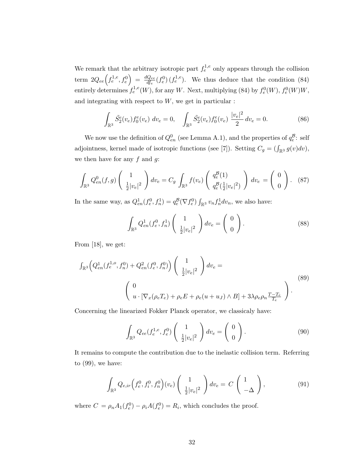We remark that the arbitrary isotropic part  $f_e^{1,e}$  only appears through the collision term  $2Q_{ee}\left(f_e^{1,e},f_e^0\right) = \frac{dQ_{ee}}{df_e}$  $\frac{Q_{ee}}{df_e}(f_e^0)(f_e^{1,e})$ . We thus deduce that the condition (84) entirely determines  $f_e^{1,e}(W)$ , for any W. Next, multiplying (84) by  $f_e^0(W)$ ,  $f_e^0(W)W$ , and integrating with respect to  $W$ , we get in particular :

$$
\int_{\mathbb{R}^3} \tilde{S}_2^e(v_e) f_0^e(v_e) dv_e = 0, \quad \int_{\mathbb{R}^3} \tilde{S}_2^e(v_e) f_0^e(v_e) \frac{|v_e|^2}{2} dv_e = 0.
$$
 (86)

We now use the definition of  $Q_{en}^0$  (see Lemma A.1), and the properties of  $q_e^{\mathcal{B}}$ : self adjointness, kernel made of isotropic functions (see [7]). Setting  $C_g = (\int_{\mathbb{R}^3} g(v) dv)$ , we then have for any  $f$  and  $g$ :

$$
\int_{\mathbb{R}^3} Q_{en}^0(f,g) \left( \frac{1}{\frac{1}{2} |v_e|^2} \right) dv_e = C_g \int_{\mathbb{R}^3} f(v_e) \left( \frac{q_e^{\mathcal{B}}(1)}{q_e^{\mathcal{B}}(\frac{1}{2} |v_e|^2)} \right) dv_e = \left( \begin{array}{c} 0 \\ 0 \end{array} \right). \tag{87}
$$

In the same way, as  $Q_{en}^1(f_e^0, f_n^1) = q_e^{\mathcal{B}}(\nabla f_e^0) \int_{\mathbb{R}^3} v_n f_n^1 dv_n$ , we also have:

$$
\int_{\mathbb{R}^3} Q_{en}^1(f_e^0, f_n^1) \begin{pmatrix} 1 \\ \frac{1}{2} |v_e|^2 \end{pmatrix} dv_e = \begin{pmatrix} 0 \\ 0 \end{pmatrix}.
$$
 (88)

From [18], we get:

$$
\int_{\mathbb{R}^3} \left( Q_{en}^1(f_e^{1,o}, f_n^0) + Q_{en}^2(f_e^0, f_n^0) \right) \left( \frac{1}{\frac{1}{2} |v_e|^2} \right) dv_e =
$$
\n
$$
\left( 0
$$
\n
$$
u \cdot [\nabla_x(\rho_e T_e) + \rho_e E + \rho_e(u + u_J) \wedge B] + 3\lambda \rho_e \rho_n \frac{T - T_e}{T_e} \right).
$$
\n(89)

Concerning the linearized Fokker Planck operator, we classicaly have:

$$
\int_{\mathbb{R}^3} Q_{ee}(f_e^{1,e}, f_e^0) \begin{pmatrix} 1 \\ \frac{1}{2} |v_e|^2 \end{pmatrix} dv_e = \begin{pmatrix} 0 \\ 0 \end{pmatrix}.
$$
 (90)

It remains to compute the contribution due to the inelastic collision term. Referring to (99), we have:

$$
\int_{\mathbb{R}^3} Q_{e,ir} \left( f_e^0, f_i^0, f_n^0 \right) (v_e) \left( \frac{1}{\frac{1}{2} |v_e|^2} \right) dv_e = C \left( \frac{1}{-\Delta} \right), \tag{91}
$$

where  $C = \rho_n A_1(f_e^0) - \rho_i A(f_e^0) = R_i$ , which concludes the proof.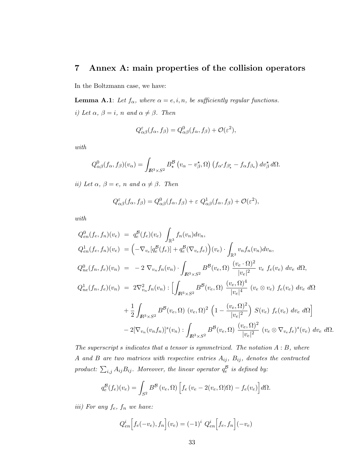#### 7 Annex A: main properties of the collision operators

In the Boltzmann case, we have:

**Lemma A.1**: Let  $f_{\alpha}$ , where  $\alpha = e, i, n$ , be sufficiently regular functions. i) Let  $\alpha$ ,  $\beta = i$ , n and  $\alpha \neq \beta$ . Then

$$
Q_{\alpha\beta}^{\varepsilon}(f_{\alpha},f_{\beta})=Q_{\alpha\beta}^{0}(f_{\alpha},f_{\beta})+\mathcal{O}(\varepsilon^{2}),
$$

with

$$
Q_{\alpha\beta}^{0}(f_{\alpha},f_{\beta})(v_{\alpha})=\int_{I\!\!R^{3}\times S^{2}}B_{\star}^{\mathcal{B}}\left(v_{\alpha}-v_{\beta}^{\star},\Omega\right)\left(f_{\alpha'}f_{\beta'_{\star}}-f_{\alpha}f_{\beta_{\star}}\right)dv_{\beta}^{\star}d\Omega.
$$

ii) Let  $\alpha$ ,  $\beta = e$ , n and  $\alpha \neq \beta$ . Then

$$
Q_{\alpha\beta}^{\varepsilon}(f_{\alpha},f_{\beta})=Q_{\alpha\beta}^{0}(f_{\alpha},f_{\beta})+\varepsilon Q_{\alpha\beta}^{1}(f_{\alpha},f_{\beta})+\mathcal{O}(\varepsilon^{2}),
$$

with

$$
Q_{en}^{0}(f_{e},f_{n})(v_{e}) = q_{e}^{B}(f_{e})(v_{e}) \int_{\mathbb{R}^{3}} f_{n}(v_{n}) dv_{n},
$$
  
\n
$$
Q_{en}^{1}(f_{e},f_{n})(v_{e}) = (-\nabla_{v_{e}}[q_{e}^{B}(f_{e})] + q_{e}^{B}(\nabla_{v_{e}}f_{e}) (v_{e}) \cdot \int_{\mathbb{R}^{3}} v_{n}f_{n}(v_{n}) dv_{n},
$$
  
\n
$$
Q_{ne}^{0}(f_{n},f_{e})(v_{n}) = -2 \nabla_{v_{n}}f_{n}(v_{n}) \cdot \int_{\mathbb{R}^{3} \times S^{2}} B^{B}(v_{e}, \Omega) \frac{(v_{e} \cdot \Omega)^{2}}{|v_{e}|^{2}} v_{e} f_{e}(v_{e}) dv_{e} d\Omega,
$$
  
\n
$$
Q_{ne}^{1}(f_{n},f_{e})(v_{n}) = 2 \nabla_{v_{n}}^{2} f_{n}(v_{n}) : \left[ \int_{\mathbb{R}^{3} \times S^{2}} B^{B}(v_{e}, \Omega) \frac{(v_{e}, \Omega)^{4}}{|v_{e}|^{4}} (v_{e} \otimes v_{e}) f_{e}(v_{e}) dv_{e} d\Omega \right.
$$
  
\n
$$
+ \frac{1}{2} \int_{\mathbb{R}^{3} \times S^{2}} B^{B}(v_{e}, \Omega) (v_{e}, \Omega)^{2} (1 - \frac{(v_{e}, \Omega)^{2}}{|v_{e}|^{2}}) S(v_{e}) f_{e}(v_{e}) dv_{e} d\Omega
$$
  
\n
$$
- 2[\nabla_{v_{n}}(v_{n}f_{n})]^{s}(v_{n}) : \int_{\mathbb{R}^{3} \times S^{2}} B^{B}(v_{e}, \Omega) \frac{(v_{e}, \Omega)^{2}}{|v_{e}|^{2}} (v_{e} \otimes \nabla_{v_{e}}f_{e})^{s}(v_{e}) dv_{e} d\Omega.
$$

The superscript s indicates that a tensor is symmetrized. The notation  $A : B$ , where A and B are two matrices with respective entries  $A_{ij}$ ,  $B_{ij}$ , denotes the contracted product:  $\sum_{i,j} A_{ij} B_{ij}$ . Moreover, the linear operator  $q_e^{\mathcal{B}}$  is defined by:

$$
q_e^{\mathcal{B}}(f_e)(v_e) = \int_{S^2} B^{\mathcal{B}}(v_e, \Omega) \left[ f_e(v_e - 2(v_e, \Omega)\Omega) - f_e(v_e) \right] d\Omega.
$$

iii) For any  $f_e$ ,  $f_n$  we have:

$$
Q_{en}^{i}[f_e(-v_e), f_n](v_e) = (-1)^i Q_{en}^{i}[f_e, f_n](-v_e)
$$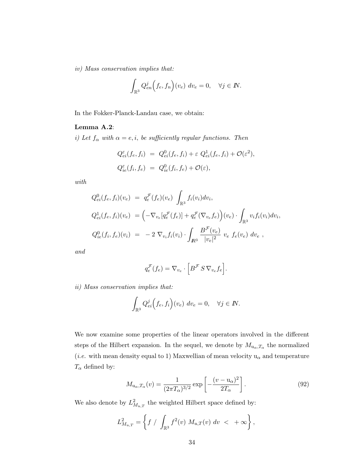iv) Mass conservation implies that:

$$
\int_{\mathbb{R}^3} Q_{en}^j(f_e, f_n)(v_e) dv_e = 0, \quad \forall j \in \mathbb{N}.
$$

In the Fokker-Planck-Landau case, we obtain:

#### Lemma A.2:

i) Let  $f_{\alpha}$  with  $\alpha = e, i$ , be sufficiently regular functions. Then

$$
Q_{ei}^{\varepsilon}(f_e, f_i) = Q_{ei}^0(f_e, f_i) + \varepsilon Q_{ei}^1(f_e, f_i) + \mathcal{O}(\varepsilon^2),
$$
  

$$
Q_{ie}^{\varepsilon}(f_i, f_e) = Q_{ie}^0(f_i, f_e) + \mathcal{O}(\varepsilon),
$$

with

$$
Q_{ei}^{0}(f_e, f_i)(v_e) = q_e^{\mathcal{F}}(f_e)(v_e) \int_{\mathbb{R}^3} f_i(v_i) dv_i,
$$
  
\n
$$
Q_{ei}^{1}(f_e, f_i)(v_e) = \left(-\nabla_{v_e}[q_e^{\mathcal{F}}(f_e)] + q_e^{\mathcal{F}}(\nabla_{v_e} f_e)\right)(v_e) \cdot \int_{\mathbb{R}^3} v_i f_i(v_i) dv_i,
$$
  
\n
$$
Q_{ie}^{0}(f_i, f_e)(v_i) = -2 \nabla_{v_i} f_i(v_i) \cdot \int_{\mathbb{R}^3} \frac{B^{\mathcal{F}}(v_e)}{|v_e|^2} v_e f_e(v_e) dv_e,
$$

and

$$
q_e^{\mathcal{F}}(f_e) = \nabla_{v_e} \cdot \left[ B^{\mathcal{F}} S \, \nabla_{v_e} f_e \right].
$$

ii) Mass conservation implies that:

$$
\int_{\mathbb{R}^3} Q_{ei}^j \Big( f_e, f_i \Big) (v_e) \ dv_e = 0, \quad \forall j \in \mathbb{N}.
$$

We now examine some properties of the linear operators involved in the different steps of the Hilbert expansion. In the sequel, we denote by  $M_{\mathbf{u}_{\alpha},T_{\alpha}}$  the normalized (*i.e.* with mean density equal to 1) Maxwellian of mean velocity  $\mathbf{u}_\alpha$  and temperature  $T_{\alpha}$  defined by:

$$
M_{\mathbf{u}_{\alpha},T_{\alpha}}(v) = \frac{1}{(2\pi T_{\alpha})^{3/2}} \exp\left[-\frac{(v - \mathbf{u}_{\alpha})^2}{2T_{\alpha}}\right].
$$
\n(92)

We also denote by  $L^2_{M_{u,T}}$  the weighted Hilbert space defined by:

$$
L^2_{M_{u,T}} = \left\{ f / \int_{\mathbb{R}^3} f^2(v) M_{u,T}(v) dv < +\infty \right\},\,
$$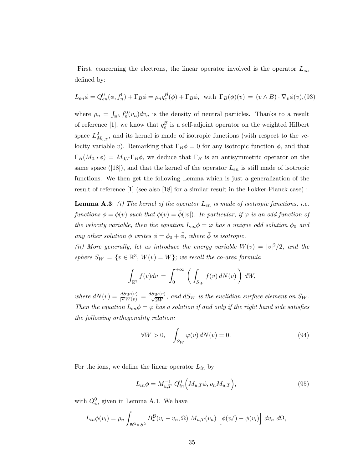First, concerning the electrons, the linear operator involved is the operator  $L_{en}$ defined by:

$$
L_{en}\phi = Q_{en}^0(\phi, f_n^0) + \Gamma_B \phi = \rho_n q_e^{\mathcal{B}}(\phi) + \Gamma_B \phi, \text{ with } \Gamma_B(\phi)(v) = (v \wedge B) \cdot \nabla_v \phi(v), (93)
$$

where  $\rho_n = \int_{\mathbb{R}^3} f_n^0(v_n) dv_n$  is the density of neutral particles. Thanks to a result of reference [1], we know that  $q_e^{\mathcal{B}}$  is a self-adjoint operator on the weighted Hilbert space  $L^2_{M_{0,T}}$ , and its kernel is made of isotropic functions (with respect to the velocity variable v). Remarking that  $\Gamma_B \phi = 0$  for any isotropic function  $\phi$ , and that  $\Gamma_B(M_{0,T}\phi) = M_{0,T} \Gamma_B \phi$ , we deduce that  $\Gamma_B$  is an antisymmetric operator on the same space ([18]), and that the kernel of the operator  $L_{en}$  is still made of isotropic functions. We then get the following Lemma which is just a generalization of the result of reference [1] (see also [18] for a similar result in the Fokker-Planck case) :

**Lemma A.3:** (i) The kernel of the operator  $L_{en}$  is made of isotropic functions, i.e. functions  $\phi = \phi(v)$  such that  $\phi(v) = \overline{\phi(|v|)}$ . In particular, if  $\varphi$  is an odd function of the velocity variable, then the equation  $L_{en} \phi = \varphi$  has a unique odd solution  $\phi_0$  and any other solution  $\phi$  writes  $\phi = \phi_0 + \bar{\phi}$ , where  $\bar{\phi}$  is isotropic.

(ii) More generally, let us introduce the energy variable  $W(v) = |v|^2/2$ , and the sphere  $S_W = \{v \in \mathbb{R}^3, W(v) = W\}$ ; we recall the co-area formula

$$
\int_{\mathbb{R}^3} f(v) dv = \int_0^{+\infty} \left( \int_{S_W} f(v) dN(v) \right) dW,
$$

where  $dN(v) = \frac{dS_W(v)}{|\nabla W(v)|} = \frac{dS_W(v)}{\sqrt{2W}}$ , and  $dS_W$  is the euclidian surface element on  $S_W$ . Then the equation  $L_{en}\phi = \varphi$  has a solution if and only if the right hand side satisfies the following orthogonality relation:

$$
\forall W > 0, \quad \int_{S_W} \varphi(v) \, dN(v) = 0. \tag{94}
$$

For the ions, we define the linear operator  $L_{in}$  by

$$
L_{in} \phi = M_{u,T}^{-1} Q_{in}^{0} \Big( M_{u,T} \phi, \rho_n M_{u,T} \Big), \tag{95}
$$

with  $Q_{in}^0$  given in Lemma A.1. We have

$$
L_{in}\phi(v_i) = \rho_n \int_{\mathbb{R}^3 \times S^2} B^{\mathcal{B}}_{\star}(v_i - v_n, \Omega) M_{u,T}(v_n) \left[ \phi(v_i') - \phi(v_i) \right] dv_n d\Omega,
$$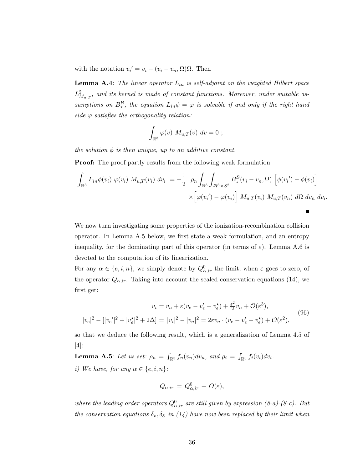with the notation  $v_i' = v_i - (v_i - v_n, \Omega)\Omega$ . Then

**Lemma A.4:** The linear operator  $L_{in}$  is self-adjoint on the weighted Hilbert space  $L^2_{M_{u,T}},$  and its kernel is made of constant functions. Moreover, under suitable assumptions on  $B_{\star}^{\beta}$ , the equation  $L_{in}\phi = \varphi$  is solvable if and only if the right hand side  $\varphi$  satisfies the orthogonality relation:

$$
\int_{\mathbb{R}^3} \varphi(v) M_{u,T}(v) dv = 0 ;
$$

the solution  $\phi$  is then unique, up to an additive constant.

Proof: The proof partly results from the following weak formulation

$$
\int_{\mathbb{R}^3} L_{in} \phi(v_i) \varphi(v_i) M_{u,T}(v_i) dv_i = -\frac{1}{2} \rho_n \int_{\mathbb{R}^3} \int_{\mathbb{R}^3 \times S^2} B^{\mathcal{B}}_{\star}(v_i - v_n, \Omega) \left[ \phi(v_i') - \phi(v_i) \right] \times \left[ \varphi(v_i') - \varphi(v_i) \right] M_{u,T}(v_i) M_{u,T}(v_n) d\Omega dv_n dv_i.
$$

 $\blacksquare$ 

We now turn investigating some properties of the ionization-recombination collision operator. In Lemma A.5 below, we first state a weak formulation, and an entropy inequality, for the dominating part of this operator (in terms of  $\varepsilon$ ). Lemma A.6 is devoted to the computation of its linearization.

For any  $\alpha \in \{e, i, n\}$ , we simply denote by  $Q_{\alpha,ir}^0$  the limit, when  $\varepsilon$  goes to zero, of the operator  $Q_{\alpha,ir}$ . Taking into account the scaled conservation equations (14), we first get:

$$
v_i = v_n + \varepsilon (v_e - v'_e - v_e^{\star}) + \frac{\varepsilon^2}{2} v_n + \mathcal{O}(\varepsilon^3),
$$
  

$$
|v_e|^2 - [|v_e'|^2 + |v_e^{\star}|^2 + 2\Delta] = |v_i|^2 - |v_n|^2 = 2\varepsilon v_n \cdot (v_e - v'_e - v_e^{\star}) + \mathcal{O}(\varepsilon^2),
$$
 (96)

so that we deduce the following result, which is a generalization of Lemma 4.5 of [4]:

**Lemma A.5**: Let us set:  $\rho_n = \int_{\mathbb{R}^3} f_n(v_n) dv_n$ , and  $\rho_i = \int_{\mathbb{R}^3} f_i(v_i) dv_i$ . i) We have, for any  $\alpha \in \{e, i, n\}$ :

$$
Q_{\alpha,ir} = Q_{\alpha,ir}^0 + O(\varepsilon),
$$

where the leading order operators  $Q^0_{\alpha,ir}$  are still given by expression (8-a)-(8-c). But the conservation equations  $\delta_v, \delta_{\mathcal{E}}$  in (14) have now been replaced by their limit when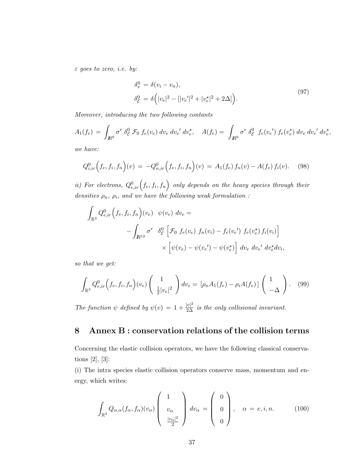$\varepsilon$  goes to zero, i.e. by:

$$
\delta_v^0 = \delta(v_i - v_n), \n\delta_{\mathcal{E}}^0 = \delta\Big(|v_e|^2 - [|v_e'|^2 + |v_e^{\star}|^2 + 2\Delta]\Big).
$$
\n(97)

Moreover, introducing the two following contants

$$
A_1(f_e) = \int_{I\!\!R^9} \sigma^r \,\delta_{\mathcal{E}}^0 \,\mathcal{F}_0 \, f_e(v_e) \, dv_e \, dv_e' \, dv_e^*, \quad A(f_e) = \int_{I\!\!R^9} \sigma^r \,\delta_{\mathcal{E}}^0 \, f_e(v_e') \, f_e(v_e^*) \, dv_e \, dv_e' \, dv_e^*,
$$

we have:

$$
Q_{i,ir}^{0}\Big(f_{e},f_{i},f_{n}\Big)(v) = -Q_{n,ir}^{0}\Big(f_{e},f_{i},f_{n}\Big)(v) = A_{1}(f_{e})f_{n}(v) - A(f_{e})f_{i}(v). \tag{98}
$$

ii) For electrons,  $Q_{e,ir}^0(f_e, f_i, f_n)$  only depends on the heavy species through their densities  $\rho_n$ ,  $\rho_i$ , and we have the following weak formulation :

$$
\int_{\mathbb{R}^3} Q_{e,ir}^0 \Big( f_e, f_i, f_n \Big) (v_e) \psi(v_e) dv_e =
$$
\n
$$
- \int_{\mathbb{R}^{12}} \sigma^r \delta^0_{\mathcal{E}} \Big[ \mathcal{F}_0 f_e(v_e) f_n(v_i) - f_e(v_e') f_e(v_e^*) f_i(v_i) \Big]
$$
\n
$$
\times \Big[ \psi(v_e) - \psi(v_e') - \psi(v_e^*) \Big] dv_e dv_e' dv_e^* dv_i,
$$

so that we get:

$$
\int_{\mathbb{R}^3} Q_{e,ir}^0\Big(f_e, f_i, f_n\Big)(v_e) \left(\begin{array}{c} 1\\ \frac{1}{2}|v_e|^2 \end{array}\right) dv_e = \left[\rho_n A_1(f_e) - \rho_i A(f_e)\right] \left(\begin{array}{c} 1\\ -\Delta \end{array}\right). \tag{99}
$$

The function  $\psi$  defined by  $\psi(v) = 1 + \frac{|v|^2}{2\Delta}$  is the only collisional invariant.

### 8 Annex B : conservation relations of the collision terms

Concerning the elastic collision operators, we have the following classical conservations [2], [3]:

(i) The intra species elastic collision operators conserve mass, momentum and energy, which writes:

$$
\int_{\mathbb{R}^3} Q_{\alpha,\alpha}(f_\alpha, f_\alpha)(v_\alpha) \begin{pmatrix} 1 \\ v_\alpha \\ \frac{|v_\alpha|^2}{2} \end{pmatrix} dv_\alpha = \begin{pmatrix} 0 \\ 0 \\ 0 \end{pmatrix}, \quad \alpha = e, i, n. \tag{100}
$$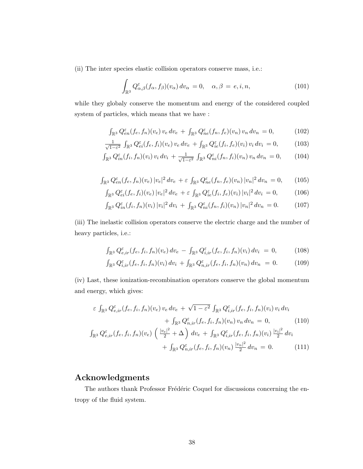(ii) The inter species elastic collision operators conserve mass, i.e.:

$$
\int_{\mathbb{R}^3} Q_{\alpha,\beta}^{\varepsilon}(f_{\alpha},f_{\beta})(v_{\alpha}) dv_{\alpha} = 0, \quad \alpha,\beta = e,i,n,
$$
\n(101)

while they globaly conserve the momentum and energy of the considered coupled system of particles, which means that we have :

$$
\int_{\mathbb{R}^3} Q_{en}^{\varepsilon}(f_e, f_n)(v_e) \, v_e \, dv_e + \int_{\mathbb{R}^3} Q_{ne}^{\varepsilon}(f_n, f_e)(v_n) \, v_n \, dv_n = 0, \tag{102}
$$

$$
\frac{1}{\sqrt{1-\varepsilon^2}} \int_{\mathbb{R}^3} Q_{ei}^{\varepsilon} (f_e, f_i)(v_e) \, v_e \, dv_e + \int_{\mathbb{R}^3} Q_{ie}^{\varepsilon} (f_i, f_e)(v_i) \, v_i \, dv_i = 0, \tag{103}
$$

$$
\int_{\mathbb{R}^3} Q_{in}^{\varepsilon}(f_i, f_n)(v_i) v_i dv_i + \frac{1}{\sqrt{1-\varepsilon^2}} \int_{\mathbb{R}^3} Q_{ni}^{\varepsilon}(f_n, f_i)(v_n) v_n dv_n = 0, \qquad (104)
$$

$$
\int_{\mathbb{R}^3} Q_{en}^{\varepsilon} (f_e, f_n)(v_e) |v_e|^2 dv_e + \varepsilon \int_{\mathbb{R}^3} Q_{ne}^{\varepsilon} (f_n, f_e)(v_n) |v_n|^2 dv_n = 0, \qquad (105)
$$

$$
\int_{\mathbb{R}^3} Q_{ei}^{\varepsilon} (f_e, f_i)(v_e) |v_e|^2 dv_e + \varepsilon \int_{\mathbb{R}^3} Q_{ie}^{\varepsilon} (f_i, f_e)(v_i) |v_i|^2 dv_i = 0, \quad (106)
$$

$$
\int_{\mathbb{R}^3} Q_{in}^{\varepsilon}(f_i, f_n)(v_i) |v_i|^2 dv_i + \int_{\mathbb{R}^3} Q_{ni}^{\varepsilon}(f_n, f_i)(v_n) |v_n|^2 dv_n = 0.
$$
 (107)

(iii) The inelastic collision operators conserve the electric charge and the number of heavy particles, i.e.:

$$
\int_{\mathbb{R}^3} Q_{e,ir}^{\varepsilon} (f_e, f_i, f_n)(v_e) dv_e - \int_{\mathbb{R}^3} Q_{i,ir}^{\varepsilon} (f_e, f_i, f_n)(v_i) dv_i = 0, \quad (108)
$$

$$
\int_{\mathbb{R}^3} Q_{i,ir}^{\varepsilon}(f_e, f_i, f_n)(v_i) dv_i + \int_{\mathbb{R}^3} Q_{n,ir}^{\varepsilon}(f_e, f_i, f_n)(v_n) dv_n = 0.
$$
 (109)

(iv) Last, these ionization-recombination operators conserve the global momentum and energy, which gives:

$$
\varepsilon \int_{\mathbb{R}^3} Q_{e,ir}^{\varepsilon} (f_e, f_i, f_n)(v_e) \, v_e \, dv_e + \sqrt{1 - \varepsilon^2} \int_{\mathbb{R}^3} Q_{i,ir}^{\varepsilon} (f_e, f_i, f_n)(v_i) \, v_i \, dv_i + \int_{\mathbb{R}^3} Q_{n,ir}^{\varepsilon} (f_e, f_i, f_n)(v_n) \, v_n \, dv_n = 0, \tag{110}
$$
  

$$
\int_{\mathbb{R}^3} Q_{e,ir}^{\varepsilon} (f_e, f_i, f_n)(v_e) \left( \frac{|v_e|^2}{2} + \Delta \right) dv_e + \int_{\mathbb{R}^3} Q_{i,ir}^{\varepsilon} (f_e, f_i, f_n)(v_i) \frac{|v_i|^2}{2} dv_i + \int_{\mathbb{R}^3} Q_{n,ir}^{\varepsilon} (f_e, f_i, f_n)(v_n) \frac{|v_n|^2}{2} dv_n = 0. \tag{111}
$$

## Acknowledgments

The authors thank Professor Frédéric Coquel for discussions concerning the entropy of the fluid system.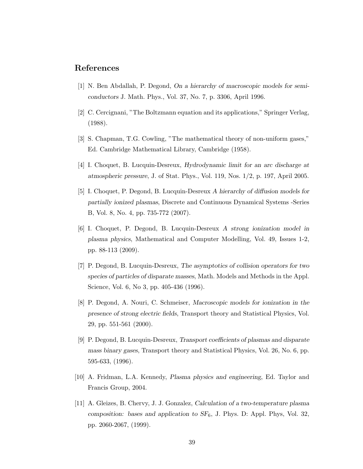#### References

- [1] N. Ben Abdallah, P. Degond, On a hierarchy of macroscopic models for semiconductors J. Math. Phys., Vol. 37, No. 7, p. 3306, April 1996.
- [2] C. Cercignani, "The Boltzmann equation and its applications," Springer Verlag, (1988).
- [3] S. Chapman, T.G. Cowling, "The mathematical theory of non-uniform gases," Ed. Cambridge Mathematical Library, Cambridge (1958).
- [4] I. Choquet, B. Lucquin-Desreux, Hydrodynamic limit for an arc discharge at atmospheric pressure, J. of Stat. Phys., Vol. 119, Nos. 1/2, p. 197, April 2005.
- [5] I. Choquet, P. Degond, B. Lucquin-Desreux A hierarchy of diffusion models for partially ionized plasmas, Discrete and Continuous Dynamical Systems -Series B, Vol. 8, No. 4, pp. 735-772 (2007).
- [6] I. Choquet, P. Degond, B. Lucquin-Desreux A strong ionization model in plasma physics, Mathematical and Computer Modelling, Vol. 49, Issues 1-2, pp. 88-113 (2009).
- [7] P. Degond, B. Lucquin-Desreux, The asymptotics of collision operators for two species of particles of disparate masses, Math. Models and Methods in the Appl. Science, Vol. 6, No 3, pp. 405-436 (1996).
- [8] P. Degond, A. Nouri, C. Schmeiser, Macroscopic models for ionization in the presence of strong electric fields, Transport theory and Statistical Physics, Vol. 29, pp. 551-561 (2000).
- [9] P. Degond, B. Lucquin-Desreux, Transport coefficients of plasmas and disparate mass binary gases, Transport theory and Statistical Physics, Vol. 26, No. 6, pp. 595-633, (1996).
- [10] A. Fridman, L.A. Kennedy, Plasma physics and engineering, Ed. Taylor and Francis Group, 2004.
- [11] A. Gleizes, B. Chervy, J. J. Gonzalez, Calculation of a two-temperature plasma composition: bases and application to  $SF_6$ , J. Phys. D: Appl. Phys, Vol. 32, pp. 2060-2067, (1999).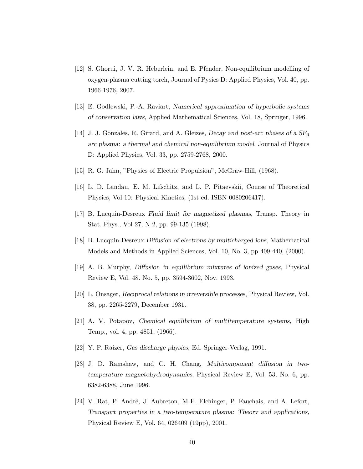- [12] S. Ghorui, J. V. R. Heberlein, and E. Pfender, Non-equilibrium modelling of oxygen-plasma cutting torch, Journal of Pysics D: Applied Physics, Vol. 40, pp. 1966-1976, 2007.
- [13] E. Godlewski, P.-A. Raviart, Numerical approximation of hyperbolic systems of conservation laws, Applied Mathematical Sciences, Vol. 18, Springer, 1996.
- [14] J. J. Gonzales, R. Girard, and A. Gleizes, *Decay and post-arc phases of a*  $SF_6$ arc plasma: a thermal and chemical non-equilibrium model, Journal of Physics D: Applied Physics, Vol. 33, pp. 2759-2768, 2000.
- [15] R. G. Jahn, "Physics of Electric Propulsion", McGraw-Hill, (1968).
- [16] L. D. Landau, E. M. Lifschitz, and L. P. Pitaevskii, Course of Theoretical Physics, Vol 10: Physical Kinetics, (1st ed. ISBN 0080206417).
- [17] B. Lucquin-Desreux Fluid limit for magnetized plasmas, Transp. Theory in Stat. Phys., Vol 27, N 2, pp. 99-135 (1998).
- [18] B. Lucquin-Desreux Diffusion of electrons by multicharged ions, Mathematical Models and Methods in Applied Sciences, Vol. 10, No. 3, pp 409-440, (2000).
- [19] A. B. Murphy, Diffusion in equilibrium mixtures of ionized gases, Physical Review E, Vol. 48. No. 5, pp. 3594-3602, Nov. 1993.
- [20] L. Onsager, Reciprocal relations in irreversible processes, Physical Review, Vol. 38, pp. 2265-2279, December 1931.
- [21] A. V. Potapov, Chemical equilibrium of multitemperature systems, High Temp., vol. 4, pp. 4851, (1966).
- [22] Y. P. Raizer, Gas discharge physics, Ed. Springer-Verlag, 1991.
- [23] J. D. Ramshaw, and C. H. Chang, Multicomponent diffusion in twotemperature magnetohydrodynamics, Physical Review E, Vol. 53, No. 6, pp. 6382-6388, June 1996.
- [24] V. Rat, P. André, J. Aubreton, M-F. Elchinger, P. Fauchais, and A. Lefort, Transport properties in a two-temperature plasma: Theory and applications, Physical Review E, Vol. 64, 026409 (19pp), 2001.